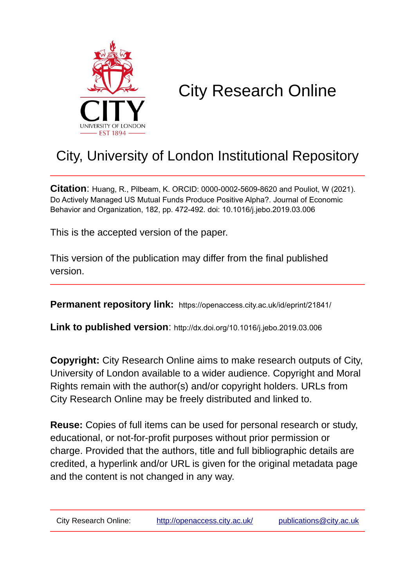

# City Research Online

## City, University of London Institutional Repository

**Citation**: Huang, R., Pilbeam, K. ORCID: 0000-0002-5609-8620 and Pouliot, W (2021). Do Actively Managed US Mutual Funds Produce Positive Alpha?. Journal of Economic Behavior and Organization, 182, pp. 472-492. doi: 10.1016/j.jebo.2019.03.006

This is the accepted version of the paper.

This version of the publication may differ from the final published version.

**Permanent repository link:** https://openaccess.city.ac.uk/id/eprint/21841/

**Link to published version**: http://dx.doi.org/10.1016/j.jebo.2019.03.006

**Copyright:** City Research Online aims to make research outputs of City, University of London available to a wider audience. Copyright and Moral Rights remain with the author(s) and/or copyright holders. URLs from City Research Online may be freely distributed and linked to.

**Reuse:** Copies of full items can be used for personal research or study, educational, or not-for-profit purposes without prior permission or charge. Provided that the authors, title and full bibliographic details are credited, a hyperlink and/or URL is given for the original metadata page and the content is not changed in any way.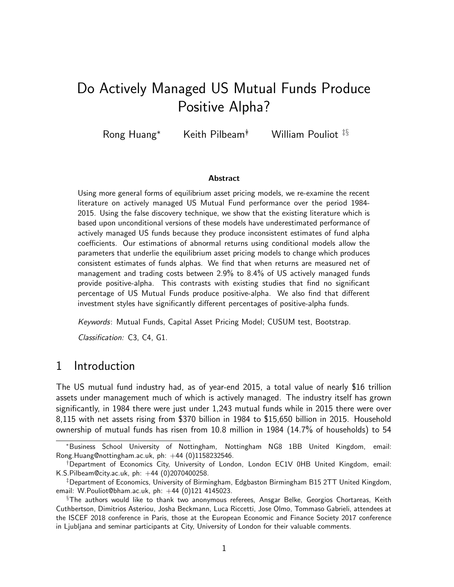## Do Actively Managed US Mutual Funds Produce Positive Alpha?

Rong Huang<sup>∗</sup> Keith Pilbeam∗† William Pouliot ‡§

#### **Abstract**

Using more general forms of equilibrium asset pricing models, we re-examine the recent literature on actively managed US Mutual Fund performance over the period 1984- 2015. Using the false discovery technique, we show that the existing literature which is based upon unconditional versions of these models have underestimated performance of actively managed US funds because they produce inconsistent estimates of fund alpha coefficients. Our estimations of abnormal returns using conditional models allow the parameters that underlie the equilibrium asset pricing models to change which produces consistent estimates of funds alphas. We find that when returns are measured net of management and trading costs between 2.9% to 8.4% of US actively managed funds provide positive-alpha. This contrasts with existing studies that find no significant percentage of US Mutual Funds produce positive-alpha. We also find that different investment styles have significantly different percentages of positive-alpha funds.

Keywords: Mutual Funds, Capital Asset Pricing Model; CUSUM test, Bootstrap.

Classification: C3, C4, G1.

## 1 Introduction

The US mutual fund industry had, as of year-end 2015, a total value of nearly \$16 trillion assets under management much of which is actively managed. The industry itself has grown significantly, in 1984 there were just under 1,243 mutual funds while in 2015 there were over 8,115 with net assets rising from \$370 billion in 1984 to \$15,650 billion in 2015. Household ownership of mutual funds has risen from 10.8 million in 1984 (14.7% of households) to 54

<sup>∗</sup>Business School University of Nottingham, Nottingham NG8 1BB United Kingdom, email: Rong.Huang@nottingham.ac.uk, ph:  $+44$  (0)1158232546.

<sup>†</sup>Department of Economics City, University of London, London EC1V 0HB United Kingdom, email: K.S.Pilbeam@city.ac.uk, ph: +44 (0)2070400258.

 $^\ddag$ Department of Economics, University of Birmingham, Edgbaston Birmingham B15 2TT United Kingdom, email: W.Pouliot@bham.ac.uk, ph: +44 (0)121 4145023.

<sup>§</sup>The authors would like to thank two anonymous referees, Ansgar Belke, Georgios Chortareas, Keith Cuthbertson, Dimitrios Asteriou, Josha Beckmann, Luca Riccetti, Jose Olmo, Tommaso Gabrieli, attendees at the ISCEF 2018 conference in Paris, those at the European Economic and Finance Society 2017 conference in Ljubljana and seminar participants at City, University of London for their valuable comments.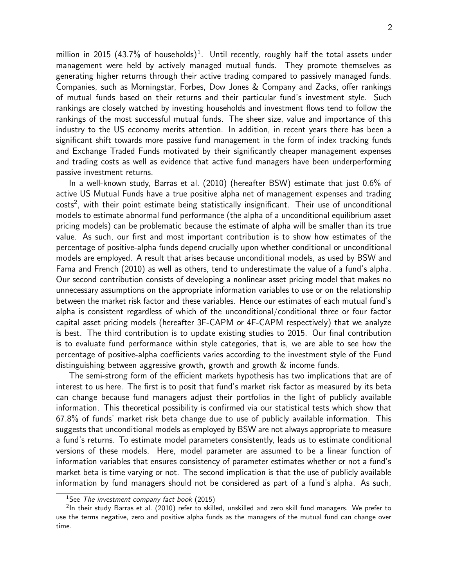million in 2015 (43.7% of households)<sup>1</sup>. Until recently, roughly half the total assets under management were held by actively managed mutual funds. They promote themselves as generating higher returns through their active trading compared to passively managed funds. Companies, such as Morningstar, Forbes, Dow Jones & Company and Zacks, offer rankings of mutual funds based on their returns and their particular fund's investment style. Such rankings are closely watched by investing households and investment flows tend to follow the rankings of the most successful mutual funds. The sheer size, value and importance of this industry to the US economy merits attention. In addition, in recent years there has been a significant shift towards more passive fund management in the form of index tracking funds and Exchange Traded Funds motivated by their significantly cheaper management expenses and trading costs as well as evidence that active fund managers have been underperforming passive investment returns.

In a well-known study, Barras et al. (2010) (hereafter BSW) estimate that just 0.6% of active US Mutual Funds have a true positive alpha net of management expenses and trading costs<sup>2</sup>, with their point estimate being statistically insignificant. Their use of unconditional models to estimate abnormal fund performance (the alpha of a unconditional equilibrium asset pricing models) can be problematic because the estimate of alpha will be smaller than its true value. As such, our first and most important contribution is to show how estimates of the percentage of positive-alpha funds depend crucially upon whether conditional or unconditional models are employed. A result that arises because unconditional models, as used by BSW and Fama and French (2010) as well as others, tend to underestimate the value of a fund's alpha. Our second contribution consists of developing a nonlinear asset pricing model that makes no unnecessary assumptions on the appropriate information variables to use or on the relationship between the market risk factor and these variables. Hence our estimates of each mutual fund's alpha is consistent regardless of which of the unconditional/conditional three or four factor capital asset pricing models (hereafter 3F-CAPM or 4F-CAPM respectively) that we analyze is best. The third contribution is to update existing studies to 2015. Our final contribution is to evaluate fund performance within style categories, that is, we are able to see how the percentage of positive-alpha coefficients varies according to the investment style of the Fund distinguishing between aggressive growth, growth and growth & income funds.

The semi-strong form of the efficient markets hypothesis has two implications that are of interest to us here. The first is to posit that fund's market risk factor as measured by its beta can change because fund managers adjust their portfolios in the light of publicly available information. This theoretical possibility is confirmed via our statistical tests which show that 67.8% of funds' market risk beta change due to use of publicly available information. This suggests that unconditional models as employed by BSW are not always appropriate to measure a fund's returns. To estimate model parameters consistently, leads us to estimate conditional versions of these models. Here, model parameter are assumed to be a linear function of information variables that ensures consistency of parameter estimates whether or not a fund's market beta is time varying or not. The second implication is that the use of publicly available information by fund managers should not be considered as part of a fund's alpha. As such,

<sup>&</sup>lt;sup>1</sup>See The investment company fact book (2015)

 $2$ In their study Barras et al. (2010) refer to skilled, unskilled and zero skill fund managers. We prefer to use the terms negative, zero and positive alpha funds as the managers of the mutual fund can change over time.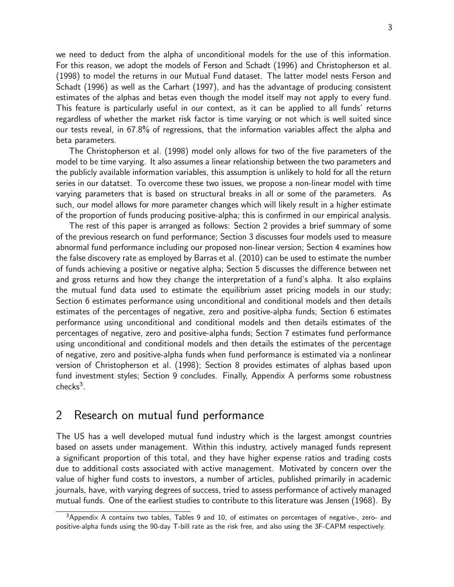we need to deduct from the alpha of unconditional models for the use of this information. For this reason, we adopt the models of Ferson and Schadt (1996) and Christopherson et al. (1998) to model the returns in our Mutual Fund dataset. The latter model nests Ferson and Schadt (1996) as well as the Carhart (1997), and has the advantage of producing consistent estimates of the alphas and betas even though the model itself may not apply to every fund. This feature is particularly useful in our context, as it can be applied to all funds' returns regardless of whether the market risk factor is time varying or not which is well suited since our tests reveal, in 67.8% of regressions, that the information variables affect the alpha and beta parameters.

The Christopherson et al. (1998) model only allows for two of the five parameters of the model to be time varying. It also assumes a linear relationship between the two parameters and the publicly available information variables, this assumption is unlikely to hold for all the return series in our datatset. To overcome these two issues, we propose a non-linear model with time varying parameters that is based on structural breaks in all or some of the parameters. As such, our model allows for more parameter changes which will likely result in a higher estimate of the proportion of funds producing positive-alpha; this is confirmed in our empirical analysis.

The rest of this paper is arranged as follows: Section 2 provides a brief summary of some of the previous research on fund performance; Section 3 discusses four models used to measure abnormal fund performance including our proposed non-linear version; Section 4 examines how the false discovery rate as employed by Barras et al. (2010) can be used to estimate the number of funds achieving a positive or negative alpha; Section 5 discusses the difference between net and gross returns and how they change the interpretation of a fund's alpha. It also explains the mutual fund data used to estimate the equilibrium asset pricing models in our study; Section 6 estimates performance using unconditional and conditional models and then details estimates of the percentages of negative, zero and positive-alpha funds; Section 6 estimates performance using unconditional and conditional models and then details estimates of the percentages of negative, zero and positive-alpha funds; Section 7 estimates fund performance using unconditional and conditional models and then details the estimates of the percentage of negative, zero and positive-alpha funds when fund performance is estimated via a nonlinear version of Christopherson et al. (1998); Section 8 provides estimates of alphas based upon fund investment styles; Section 9 concludes. Finally, Appendix A performs some robustness checks $3$ .

## 2 Research on mutual fund performance

The US has a well developed mutual fund industry which is the largest amongst countries based on assets under management. Within this industry, actively managed funds represent a significant proportion of this total, and they have higher expense ratios and trading costs due to additional costs associated with active management. Motivated by concern over the value of higher fund costs to investors, a number of articles, published primarily in academic journals, have, with varying degrees of success, tried to assess performance of actively managed mutual funds. One of the earliest studies to contribute to this literature was Jensen (1968). By

 $3A$ ppendix A contains two tables, Tables 9 and 10, of estimates on percentages of negative-, zero- and positive-alpha funds using the 90-day T-bill rate as the risk free, and also using the 3F-CAPM respectively.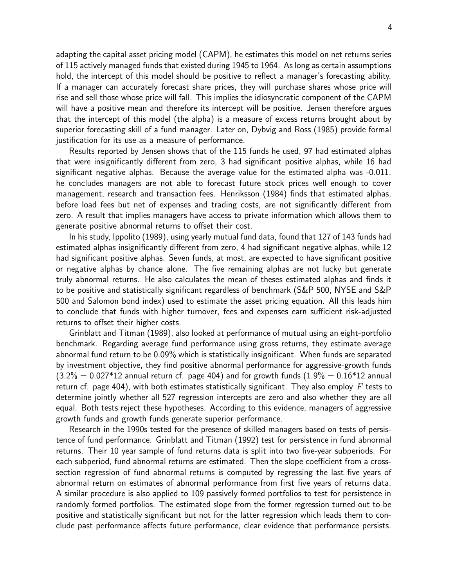adapting the capital asset pricing model (CAPM), he estimates this model on net returns series of 115 actively managed funds that existed during 1945 to 1964. As long as certain assumptions hold, the intercept of this model should be positive to reflect a manager's forecasting ability. If a manager can accurately forecast share prices, they will purchase shares whose price will rise and sell those whose price will fall. This implies the idiosyncratic component of the CAPM will have a positive mean and therefore its intercept will be positive. Jensen therefore argues that the intercept of this model (the alpha) is a measure of excess returns brought about by superior forecasting skill of a fund manager. Later on, Dybvig and Ross (1985) provide formal justification for its use as a measure of performance.

Results reported by Jensen shows that of the 115 funds he used, 97 had estimated alphas that were insignificantly different from zero, 3 had significant positive alphas, while 16 had significant negative alphas. Because the average value for the estimated alpha was -0.011, he concludes managers are not able to forecast future stock prices well enough to cover management, research and transaction fees. Henriksson (1984) finds that estimated alphas, before load fees but net of expenses and trading costs, are not significantly different from zero. A result that implies managers have access to private information which allows them to generate positive abnormal returns to offset their cost.

In his study, Ippolito (1989), using yearly mutual fund data, found that 127 of 143 funds had estimated alphas insignificantly different from zero, 4 had significant negative alphas, while 12 had significant positive alphas. Seven funds, at most, are expected to have significant positive or negative alphas by chance alone. The five remaining alphas are not lucky but generate truly abnormal returns. He also calculates the mean of theses estimated alphas and finds it to be positive and statistically significant regardless of benchmark (S&P 500, NYSE and S&P 500 and Salomon bond index) used to estimate the asset pricing equation. All this leads him to conclude that funds with higher turnover, fees and expenses earn sufficient risk-adjusted returns to offset their higher costs.

Grinblatt and Titman (1989), also looked at performance of mutual using an eight-portfolio benchmark. Regarding average fund performance using gross returns, they estimate average abnormal fund return to be 0.09% which is statistically insignificant. When funds are separated by investment objective, they find positive abnormal performance for aggressive-growth funds  $(3.2\% = 0.027*12$  annual return cf. page 404) and for growth funds  $(1.9\% = 0.16*12$  annual return cf. page 404), with both estimates statistically significant. They also employ  $F$  tests to determine jointly whether all 527 regression intercepts are zero and also whether they are all equal. Both tests reject these hypotheses. According to this evidence, managers of aggressive growth funds and growth funds generate superior performance.

Research in the 1990s tested for the presence of skilled managers based on tests of persistence of fund performance. Grinblatt and Titman (1992) test for persistence in fund abnormal returns. Their 10 year sample of fund returns data is split into two five-year subperiods. For each subperiod, fund abnormal returns are estimated. Then the slope coefficient from a crosssection regression of fund abnormal returns is computed by regressing the last five years of abnormal return on estimates of abnormal performance from first five years of returns data. A similar procedure is also applied to 109 passively formed portfolios to test for persistence in randomly formed portfolios. The estimated slope from the former regression turned out to be positive and statistically significant but not for the latter regression which leads them to conclude past performance affects future performance, clear evidence that performance persists.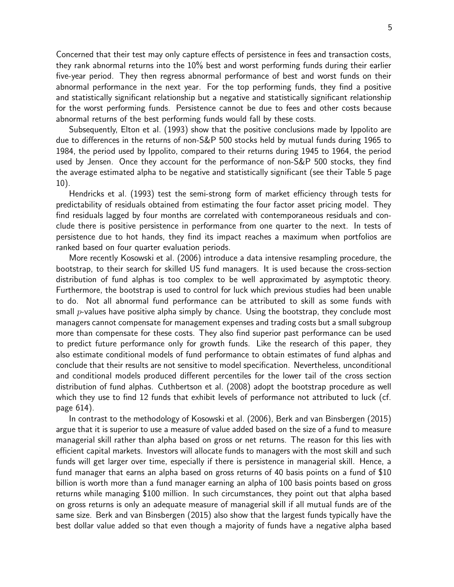Concerned that their test may only capture effects of persistence in fees and transaction costs, they rank abnormal returns into the 10% best and worst performing funds during their earlier five-year period. They then regress abnormal performance of best and worst funds on their abnormal performance in the next year. For the top performing funds, they find a positive and statistically significant relationship but a negative and statistically significant relationship for the worst performing funds. Persistence cannot be due to fees and other costs because abnormal returns of the best performing funds would fall by these costs.

Subsequently, Elton et al. (1993) show that the positive conclusions made by Ippolito are due to differences in the returns of non-S&P 500 stocks held by mutual funds during 1965 to 1984, the period used by Ippolito, compared to their returns during 1945 to 1964, the period used by Jensen. Once they account for the performance of non-S&P 500 stocks, they find the average estimated alpha to be negative and statistically significant (see their Table 5 page 10).

Hendricks et al. (1993) test the semi-strong form of market efficiency through tests for predictability of residuals obtained from estimating the four factor asset pricing model. They find residuals lagged by four months are correlated with contemporaneous residuals and conclude there is positive persistence in performance from one quarter to the next. In tests of persistence due to hot hands, they find its impact reaches a maximum when portfolios are ranked based on four quarter evaluation periods.

More recently Kosowski et al. (2006) introduce a data intensive resampling procedure, the bootstrap, to their search for skilled US fund managers. It is used because the cross-section distribution of fund alphas is too complex to be well approximated by asymptotic theory. Furthermore, the bootstrap is used to control for luck which previous studies had been unable to do. Not all abnormal fund performance can be attributed to skill as some funds with small p-values have positive alpha simply by chance. Using the bootstrap, they conclude most managers cannot compensate for management expenses and trading costs but a small subgroup more than compensate for these costs. They also find superior past performance can be used to predict future performance only for growth funds. Like the research of this paper, they also estimate conditional models of fund performance to obtain estimates of fund alphas and conclude that their results are not sensitive to model specification. Nevertheless, unconditional and conditional models produced different percentiles for the lower tail of the cross section distribution of fund alphas. Cuthbertson et al. (2008) adopt the bootstrap procedure as well which they use to find 12 funds that exhibit levels of performance not attributed to luck (cf. page 614).

In contrast to the methodology of Kosowski et al. (2006), Berk and van Binsbergen (2015) argue that it is superior to use a measure of value added based on the size of a fund to measure managerial skill rather than alpha based on gross or net returns. The reason for this lies with efficient capital markets. Investors will allocate funds to managers with the most skill and such funds will get larger over time, especially if there is persistence in managerial skill. Hence, a fund manager that earns an alpha based on gross returns of 40 basis points on a fund of \$10 billion is worth more than a fund manager earning an alpha of 100 basis points based on gross returns while managing \$100 million. In such circumstances, they point out that alpha based on gross returns is only an adequate measure of managerial skill if all mutual funds are of the same size. Berk and van Binsbergen (2015) also show that the largest funds typically have the best dollar value added so that even though a majority of funds have a negative alpha based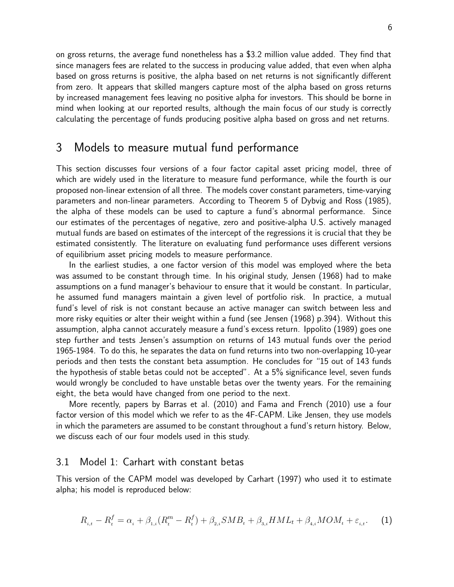on gross returns, the average fund nonetheless has a \$3.2 million value added. They find that since managers fees are related to the success in producing value added, that even when alpha based on gross returns is positive, the alpha based on net returns is not significantly different from zero. It appears that skilled mangers capture most of the alpha based on gross returns by increased management fees leaving no positive alpha for investors. This should be borne in mind when looking at our reported results, although the main focus of our study is correctly calculating the percentage of funds producing positive alpha based on gross and net returns.

## 3 Models to measure mutual fund performance

This section discusses four versions of a four factor capital asset pricing model, three of which are widely used in the literature to measure fund performance, while the fourth is our proposed non-linear extension of all three. The models cover constant parameters, time-varying parameters and non-linear parameters. According to Theorem 5 of Dybvig and Ross (1985), the alpha of these models can be used to capture a fund's abnormal performance. Since our estimates of the percentages of negative, zero and positive-alpha U.S. actively managed mutual funds are based on estimates of the intercept of the regressions it is crucial that they be estimated consistently. The literature on evaluating fund performance uses different versions of equilibrium asset pricing models to measure performance.

In the earliest studies, a one factor version of this model was employed where the beta was assumed to be constant through time. In his original study, Jensen (1968) had to make assumptions on a fund manager's behaviour to ensure that it would be constant. In particular, he assumed fund managers maintain a given level of portfolio risk. In practice, a mutual fund's level of risk is not constant because an active manager can switch between less and more risky equities or alter their weight within a fund (see Jensen (1968) p.394). Without this assumption, alpha cannot accurately measure a fund's excess return. Ippolito (1989) goes one step further and tests Jensen's assumption on returns of 143 mutual funds over the period 1965-1984. To do this, he separates the data on fund returns into two non-overlapping 10-year periods and then tests the constant beta assumption. He concludes for "15 out of 143 funds the hypothesis of stable betas could not be accepted". At a 5% significance level, seven funds would wrongly be concluded to have unstable betas over the twenty years. For the remaining eight, the beta would have changed from one period to the next.

More recently, papers by Barras et al. (2010) and Fama and French (2010) use a four factor version of this model which we refer to as the 4F-CAPM. Like Jensen, they use models in which the parameters are assumed to be constant throughout a fund's return history. Below, we discuss each of our four models used in this study.

#### 3.1 Model 1: Carhart with constant betas

This version of the CAPM model was developed by Carhart (1997) who used it to estimate alpha; his model is reproduced below:

$$
R_{i,t} - R_t^f = \alpha_i + \beta_{1,i}(R_t^m - R_t^f) + \beta_{2,i}SMB_t + \beta_{3,i}HML_t + \beta_{4,i}MOM_t + \varepsilon_{i,t}.
$$
 (1)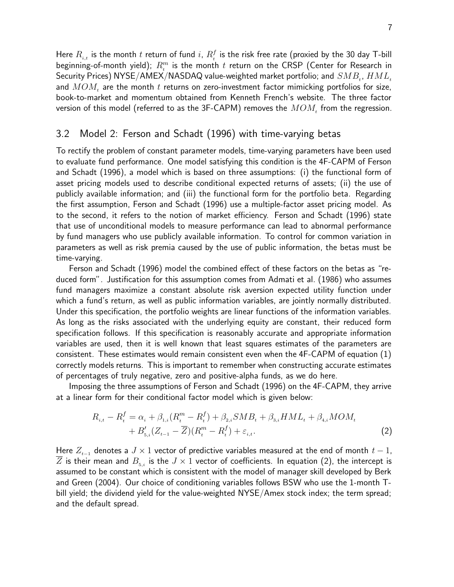Here  $R_{_{i,t}}$  is the month  $t$  return of fund  $i, \, R^f_{_t}$  is the risk free rate (proxied by the 30 day T-bill beginning-of-month yield);  $R_{_t}^m$  is the month  $t$  return on the CRSP (Center for Research in Security Prices) NYSE/AMEX/NASDAQ value-weighted market portfolio; and  $SMB_t$ ,  $HML_t$ and  $MOM_t$  are the month t returns on zero-investment factor mimicking portfolios for size, book-to-market and momentum obtained from Kenneth French's website. The three factor version of this model (referred to as the 3F-CAPM) removes the  $MOM_t$  from the regression.

#### 3.2 Model 2: Ferson and Schadt (1996) with time-varying betas

To rectify the problem of constant parameter models, time-varying parameters have been used to evaluate fund performance. One model satisfying this condition is the 4F-CAPM of Ferson and Schadt (1996), a model which is based on three assumptions: (i) the functional form of asset pricing models used to describe conditional expected returns of assets; (ii) the use of publicly available information; and (iii) the functional form for the portfolio beta. Regarding the first assumption, Ferson and Schadt (1996) use a multiple-factor asset pricing model. As to the second, it refers to the notion of market efficiency. Ferson and Schadt (1996) state that use of unconditional models to measure performance can lead to abnormal performance by fund managers who use publicly available information. To control for common variation in parameters as well as risk premia caused by the use of public information, the betas must be time-varying.

Ferson and Schadt (1996) model the combined effect of these factors on the betas as "reduced form". Justification for this assumption comes from Admati et al. (1986) who assumes fund managers maximize a constant absolute risk aversion expected utility function under which a fund's return, as well as public information variables, are jointly normally distributed. Under this specification, the portfolio weights are linear functions of the information variables. As long as the risks associated with the underlying equity are constant, their reduced form specification follows. If this specification is reasonably accurate and appropriate information variables are used, then it is well known that least squares estimates of the parameters are consistent. These estimates would remain consistent even when the 4F-CAPM of equation (1) correctly models returns. This is important to remember when constructing accurate estimates of percentages of truly negative, zero and positive-alpha funds, as we do here.

Imposing the three assumptions of Ferson and Schadt (1996) on the 4F-CAPM, they arrive at a linear form for their conditional factor model which is given below:

$$
R_{i,t} - R_t^f = \alpha_i + \beta_{1,i}(R_t^m - R_t^f) + \beta_{2,i}SMB_t + \beta_{3,i}HML_t + \beta_{4,i}MOM_t + B_{5,i}'(Z_{t-1} - \overline{Z})(R_t^m - R_t^f) + \varepsilon_{i,t}.
$$
\n(2)

Here  $Z_{t-1}$  denotes a  $J \times 1$  vector of predictive variables measured at the end of month  $t-1$ ,  $\overline{Z}$  is their mean and  $B_{5,i}$  is the  $J\times 1$  vector of coefficients. In equation (2), the intercept is assumed to be constant which is consistent with the model of manager skill developed by Berk and Green (2004). Our choice of conditioning variables follows BSW who use the 1-month Tbill yield; the dividend yield for the value-weighted NYSE/Amex stock index; the term spread; and the default spread.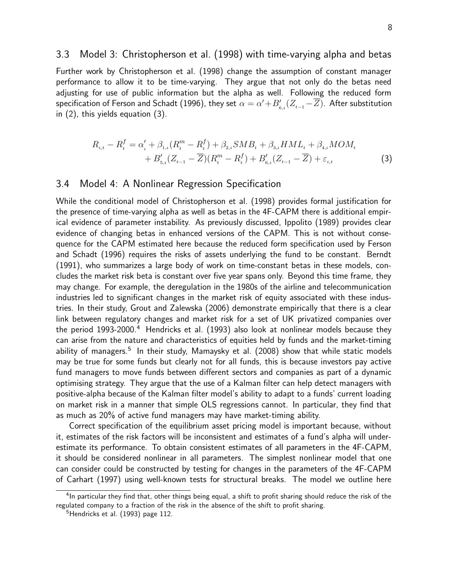#### 3.3 Model 3: Christopherson et al. (1998) with time-varying alpha and betas

Further work by Christopherson et al. (1998) change the assumption of constant manager performance to allow it to be time-varying. They argue that not only do the betas need adjusting for use of public information but the alpha as well. Following the reduced form specification of Ferson and Schadt (1996), they set  $\alpha=\alpha'+B'_{6,i}(Z_{t-1}\!-\!Z)$ . After substitution in (2), this yields equation (3).

$$
R_{i,t} - R_t^f = \alpha_i' + \beta_{1,i}(R_t^m - R_t^f) + \beta_{2,i}SMB_t + \beta_{3,i}HML_t + \beta_{4,i}MOM_t + B_{5,i}'(Z_{t-1} - \overline{Z})(R_t^m - R_t^f) + B_{6,i}'(Z_{t-1} - \overline{Z}) + \varepsilon_{i,t}
$$
\n(3)

#### 3.4 Model 4: A Nonlinear Regression Specification

While the conditional model of Christopherson et al. (1998) provides formal justification for the presence of time-varying alpha as well as betas in the 4F-CAPM there is additional empirical evidence of parameter instability. As previously discussed, Ippolito (1989) provides clear evidence of changing betas in enhanced versions of the CAPM. This is not without consequence for the CAPM estimated here because the reduced form specification used by Ferson and Schadt (1996) requires the risks of assets underlying the fund to be constant. Berndt (1991), who summarizes a large body of work on time-constant betas in these models, concludes the market risk beta is constant over five year spans only. Beyond this time frame, they may change. For example, the deregulation in the 1980s of the airline and telecommunication industries led to significant changes in the market risk of equity associated with these industries. In their study, Grout and Zalewska (2006) demonstrate empirically that there is a clear link between regulatory changes and market risk for a set of UK privatized companies over the period  $1993-2000$ .<sup>4</sup> Hendricks et al. (1993) also look at nonlinear models because they can arise from the nature and characteristics of equities held by funds and the market-timing ability of managers.<sup>5</sup> In their study, Mamaysky et al. (2008) show that while static models may be true for some funds but clearly not for all funds, this is because investors pay active fund managers to move funds between different sectors and companies as part of a dynamic optimising strategy. They argue that the use of a Kalman filter can help detect managers with positive-alpha because of the Kalman filter model's ability to adapt to a funds' current loading on market risk in a manner that simple OLS regressions cannot. In particular, they find that as much as 20% of active fund managers may have market-timing ability.

Correct specification of the equilibrium asset pricing model is important because, without it, estimates of the risk factors will be inconsistent and estimates of a fund's alpha will underestimate its performance. To obtain consistent estimates of all parameters in the 4F-CAPM, it should be considered nonlinear in all parameters. The simplest nonlinear model that one can consider could be constructed by testing for changes in the parameters of the 4F-CAPM of Carhart (1997) using well-known tests for structural breaks. The model we outline here

<sup>&</sup>lt;sup>4</sup>In particular they find that, other things being equal, a shift to profit sharing should reduce the risk of the regulated company to a fraction of the risk in the absence of the shift to profit sharing.

<sup>&</sup>lt;sup>5</sup>Hendricks et al. (1993) page 112.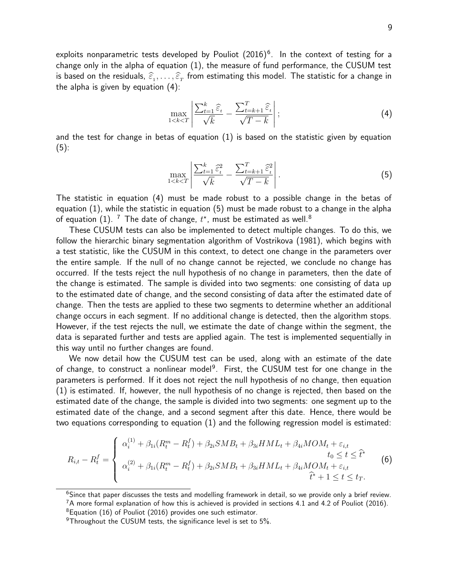exploits nonparametric tests developed by Pouliot  $(2016)^6$ . In the context of testing for a change only in the alpha of equation (1), the measure of fund performance, the CUSUM test is based on the residuals,  $\widehat{\varepsilon}_1, \ldots, \widehat{\varepsilon}_T$  from estimating this model. The statistic for a change in the alpha is given by equation (4):

$$
\max_{1 < k < T} \left| \frac{\sum_{t=1}^{k} \widehat{\varepsilon}_t}{\sqrt{k}} - \frac{\sum_{t=k+1}^{T} \widehat{\varepsilon}_t}{\sqrt{T-k}} \right|;
$$
\n(4)

and the test for change in betas of equation (1) is based on the statistic given by equation  $(5)$ :

$$
\max_{1 < k < T} \left| \frac{\sum_{t=1}^{k} \hat{\varepsilon}_t^2}{\sqrt{k}} - \frac{\sum_{t=k+1}^{T} \hat{\varepsilon}_t^2}{\sqrt{T-k}} \right|.
$$
\n
$$
\tag{5}
$$

The statistic in equation (4) must be made robust to a possible change in the betas of equation (1), while the statistic in equation (5) must be made robust to a change in the alpha of equation (1).  $^7$  The date of change,  $t^{\star}$ , must be estimated as well. $^8$ 

These CUSUM tests can also be implemented to detect multiple changes. To do this, we follow the hierarchic binary segmentation algorithm of Vostrikova (1981), which begins with a test statistic, like the CUSUM in this context, to detect one change in the parameters over the entire sample. If the null of no change cannot be rejected, we conclude no change has occurred. If the tests reject the null hypothesis of no change in parameters, then the date of the change is estimated. The sample is divided into two segments: one consisting of data up to the estimated date of change, and the second consisting of data after the estimated date of change. Then the tests are applied to these two segments to determine whether an additional change occurs in each segment. If no additional change is detected, then the algorithm stops. However, if the test rejects the null, we estimate the date of change within the segment, the data is separated further and tests are applied again. The test is implemented sequentially in this way until no further changes are found.

We now detail how the CUSUM test can be used, along with an estimate of the date of change, to construct a nonlinear model<sup>9</sup>. First, the CUSUM test for one change in the parameters is performed. If it does not reject the null hypothesis of no change, then equation (1) is estimated. If, however, the null hypothesis of no change is rejected, then based on the estimated date of the change, the sample is divided into two segments: one segment up to the estimated date of the change, and a second segment after this date. Hence, there would be two equations corresponding to equation (1) and the following regression model is estimated:

$$
R_{i,t} - R_t^f = \begin{cases} \alpha_i^{(1)} + \beta_{1i}(R_t^m - R_t^f) + \beta_{2i}SMB_t + \beta_{3i}HML_t + \beta_{4i}MOM_t + \varepsilon_{i,t} \\ t_0 \le t \le \hat{t}^* \\ \alpha_i^{(2)} + \beta_{1i}(R_t^m - R_t^f) + \beta_{2i}SMB_t + \beta_{3i}HML_t + \beta_{4i}MOM_t + \varepsilon_{i,t} \\ \hat{t}^* + 1 \le t \le t_T. \end{cases} \tag{6}
$$

<sup>&</sup>lt;sup>6</sup>Since that paper discusses the tests and modelling framework in detail, so we provide only a brief review.

 $7A$  more formal explanation of how this is achieved is provided in sections 4.1 and 4.2 of Pouliot (2016).

 ${}^{8}$ Equation (16) of Pouliot (2016) provides one such estimator.

 $9$ Throughout the CUSUM tests, the significance level is set to 5%.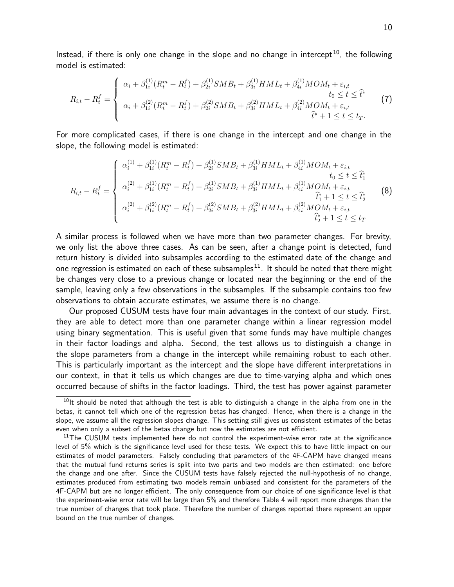Instead, if there is only one change in the slope and no change in intercept<sup>10</sup>, the following model is estimated:

$$
R_{i,t} - R_t^f = \begin{cases} \alpha_i + \beta_{1i}^{(1)}(R_t^m - R_t^f) + \beta_{2i}^{(1)}SMB_t + \beta_{3i}^{(1)}HML_t + \beta_{4i}^{(1)}MOM_t + \varepsilon_{i,t} \\ t_0 \le t \le \hat{t}^* \\ \alpha_i + \beta_{1i}^{(2)}(R_t^m - R_t^f) + \beta_{2i}^{(2)}SMB_t + \beta_{3i}^{(2)}HML_t + \beta_{4i}^{(2)}MOM_t + \varepsilon_{i,t} \\ \hat{t}^* + 1 \le t \le t_T. \end{cases}
$$
(7)

For more complicated cases, if there is one change in the intercept and one change in the slope, the following model is estimated:

$$
R_{i,t} - R_t^f = \begin{cases} \alpha_i^{(1)} + \beta_{1i}^{(1)}(R_t^m - R_t^f) + \beta_{2i}^{(1)}SMB_t + \beta_{3i}^{(1)}HML_t + \beta_{4i}^{(1)}MOM_t + \varepsilon_{i,t} \\ \alpha_i^{(2)} + \beta_{1i}^{(1)}(R_t^m - R_t^f) + \beta_{2i}^{(1)}SMB_t + \beta_{3i}^{(1)}HML_t + \beta_{4i}^{(1)}MOM_t + \varepsilon_{i,t} \\ \alpha_i^{(2)} + \beta_{1i}^{(2)}(R_t^m - R_t^f) + \beta_{2i}^{(2)}SMB_t + \beta_{3i}^{(2)}HML_t + \beta_{4i}^{(2)}MOM_t + \varepsilon_{i,t} \\ \hat{t}_1^* + 1 \le t \le \hat{t}_2^* \end{cases} \tag{8}
$$

A similar process is followed when we have more than two parameter changes. For brevity, we only list the above three cases. As can be seen, after a change point is detected, fund return history is divided into subsamples according to the estimated date of the change and one regression is estimated on each of these subsamples<sup>11</sup>. It should be noted that there might be changes very close to a previous change or located near the beginning or the end of the sample, leaving only a few observations in the subsamples. If the subsample contains too few observations to obtain accurate estimates, we assume there is no change.

Our proposed CUSUM tests have four main advantages in the context of our study. First, they are able to detect more than one parameter change within a linear regression model using binary segmentation. This is useful given that some funds may have multiple changes in their factor loadings and alpha. Second, the test allows us to distinguish a change in the slope parameters from a change in the intercept while remaining robust to each other. This is particularly important as the intercept and the slope have different interpretations in our context, in that it tells us which changes are due to time-varying alpha and which ones occurred because of shifts in the factor loadings. Third, the test has power against parameter

 $10$ It should be noted that although the test is able to distinguish a change in the alpha from one in the betas, it cannot tell which one of the regression betas has changed. Hence, when there is a change in the slope, we assume all the regression slopes change. This setting still gives us consistent estimates of the betas even when only a subset of the betas change but now the estimates are not efficient.

 $11$ The CUSUM tests implemented here do not control the experiment-wise error rate at the significance level of 5% which is the significance level used for these tests. We expect this to have little impact on our estimates of model parameters. Falsely concluding that parameters of the 4F-CAPM have changed means that the mutual fund returns series is split into two parts and two models are then estimated: one before the change and one after. Since the CUSUM tests have falsely rejected the null-hypothesis of no change, estimates produced from estimating two models remain unbiased and consistent for the parameters of the 4F-CAPM but are no longer efficient. The only consequence from our choice of one significance level is that the experiment-wise error rate will be large than 5% and therefore Table 4 will report more changes than the true number of changes that took place. Therefore the number of changes reported there represent an upper bound on the true number of changes.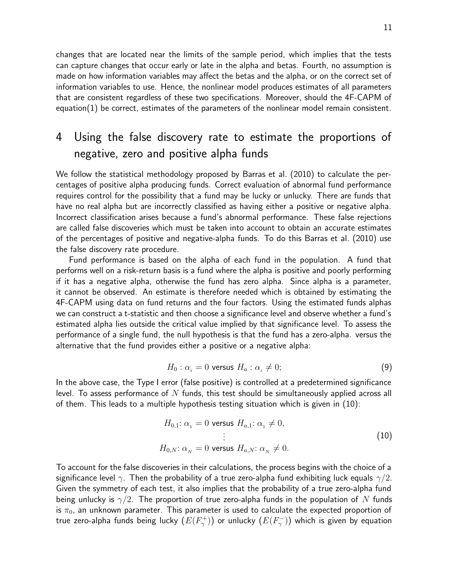changes that are located near the limits of the sample period, which implies that the tests can capture changes that occur early or late in the alpha and betas. Fourth, no assumption is made on how information variables may affect the betas and the alpha, or on the correct set of information variables to use. Hence, the nonlinear model produces estimates of all parameters that are consistent regardless of these two specifications. Moreover, should the 4F-CAPM of equation $(1)$  be correct, estimates of the parameters of the nonlinear model remain consistent.

## 4 Using the false discovery rate to estimate the proportions of negative, zero and positive alpha funds

We follow the statistical methodology proposed by Barras et al. (2010) to calculate the percentages of positive alpha producing funds. Correct evaluation of abnormal fund performance requires control for the possibility that a fund may be lucky or unlucky. There are funds that have no real alpha but are incorrectly classified as having either a positive or negative alpha. Incorrect classification arises because a fund's abnormal performance. These false rejections are called false discoveries which must be taken into account to obtain an accurate estimates of the percentages of positive and negative-alpha funds. To do this Barras et al. (2010) use the false discovery rate procedure.

Fund performance is based on the alpha of each fund in the population. A fund that performs well on a risk-return basis is a fund where the alpha is positive and poorly performing if it has a negative alpha, otherwise the fund has zero alpha. Since alpha is a parameter, it cannot be observed. An estimate is therefore needed which is obtained by estimating the 4F-CAPM using data on fund returns and the four factors. Using the estimated funds alphas we can construct a t-statistic and then choose a significance level and observe whether a fund's estimated alpha lies outside the critical value implied by that significance level. To assess the performance of a single fund, the null hypothesis is that the fund has a zero-alpha. versus the alternative that the fund provides either a positive or a negative alpha:

$$
H_0: \alpha_i = 0 \text{ versus } H_a: \alpha_i \neq 0;
$$
\n(9)

In the above case, the Type I error (false positive) is controlled at a predetermined significance level. To assess performance of  $N$  funds, this test should be simultaneously applied across all of them. This leads to a multiple hypothesis testing situation which is given in (10):

$$
H_{0,1}: \alpha_1 = 0 \text{ versus } H_{a,1}: \alpha_1 \neq 0,
$$
  
\n
$$
\vdots
$$
  
\n
$$
H_{0,N}: \alpha_N = 0 \text{ versus } H_{a,N}: \alpha_N \neq 0.
$$
\n(10)

To account for the false discoveries in their calculations, the process begins with the choice of a significance level  $\gamma$ . Then the probability of a true zero-alpha fund exhibiting luck equals  $\gamma/2$ . Given the symmetry of each test, it also implies that the probability of a true zero-alpha fund being unlucky is  $\gamma/2$ . The proportion of true zero-alpha funds in the population of N funds is  $\pi_0$ , an unknown parameter. This parameter is used to calculate the expected proportion of true zero-alpha funds being lucky  $(E(F_\gamma^+))$  or unlucky  $(E(F_\gamma^-))$  which is given by equation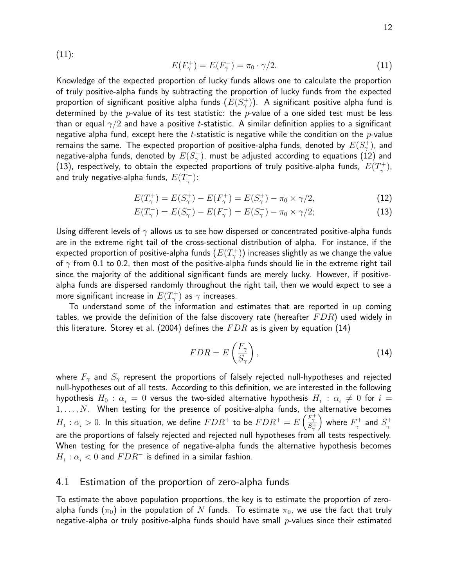(11):

$$
E(F_{\gamma}^{+}) = E(F_{\gamma}^{-}) = \pi_0 \cdot \gamma/2.
$$
 (11)

Knowledge of the expected proportion of lucky funds allows one to calculate the proportion of truly positive-alpha funds by subtracting the proportion of lucky funds from the expected proportion of significant positive alpha funds  $(E(S_{\gamma}^+))$ . A significant positive alpha fund is determined by the p-value of its test statistic: the p-value of a one sided test must be less than or equal  $\gamma/2$  and have a positive t-statistic. A similar definition applies to a significant negative alpha fund, except here the t-statistic is negative while the condition on the  $p$ -value remains the same. The expected proportion of positive-alpha funds, denoted by  $E(S_{\gamma}^+)$ , and negative-alpha funds, denoted by  $E(S_{\gamma}^{-})$ , must be adjusted according to equations (12) and (13), respectively, to obtain the expected proportions of truly positive-alpha funds,  $E(T_\gamma^+)$ , and truly negative-alpha funds,  $E(T_{_{\gamma}}^{-})$ :

$$
E(T_{\gamma}^{+}) = E(S_{\gamma}^{+}) - E(F_{\gamma}^{+}) = E(S_{\gamma}^{+}) - \pi_{0} \times \gamma/2,
$$
\n(12)

$$
E(T_{\gamma}^{-}) = E(S_{\gamma}^{-}) - E(F_{\gamma}^{-}) = E(S_{\gamma}^{-}) - \pi_{0} \times \gamma/2; \tag{13}
$$

Using different levels of  $\gamma$  allows us to see how dispersed or concentrated positive-alpha funds are in the extreme right tail of the cross-sectional distribution of alpha. For instance, if the expected proportion of positive-alpha funds  $(E(T_\gamma^+))$  increases slightly as we change the value of  $\gamma$  from 0.1 to 0.2, then most of the positive-alpha funds should lie in the extreme right tail since the majority of the additional significant funds are merely lucky. However, if positivealpha funds are dispersed randomly throughout the right tail, then we would expect to see a more significant increase in  $E(T_\gamma^+)$  as  $\gamma$  increases.

To understand some of the information and estimates that are reported in up coming tables, we provide the definition of the false discovery rate (hereafter  $FDR$ ) used widely in this literature. Storey et al. (2004) defines the  $FDR$  as is given by equation (14)

$$
FDR = E\left(\frac{F_{\gamma}}{S_{\gamma}}\right),\tag{14}
$$

where  $F_{\gamma}$  and  $S_{\gamma}$  represent the proportions of falsely rejected null-hypotheses and rejected null-hypotheses out of all tests. According to this definition, we are interested in the following hypothesis  $H_0$  :  $\alpha_i = 0$  versus the two-sided alternative hypothesis  $H_1$  :  $\alpha_i \neq 0$  for  $i =$  $1, \ldots, N$ . When testing for the presence of positive-alpha funds, the alternative becomes  $H_1: \alpha_i > 0$ . In this situation, we define  $FDR^+$  to be  $FDR^+ = E\left(\frac{F_1^+}{S_1^+}\right)$ ) where  $F_{\gamma}^{+}$  and  $S_{\gamma}^{+}$ are the proportions of falsely rejected and rejected null hypotheses from all tests respectively. When testing for the presence of negative-alpha funds the alternative hypothesis becomes  $H_1 : \alpha_i < 0$  and  $FDR^-$  is defined in a similar fashion.

#### 4.1 Estimation of the proportion of zero-alpha funds

To estimate the above population proportions, the key is to estimate the proportion of zeroalpha funds ( $\pi_0$ ) in the population of N funds. To estimate  $\pi_0$ , we use the fact that truly negative-alpha or truly positive-alpha funds should have small  $p$ -values since their estimated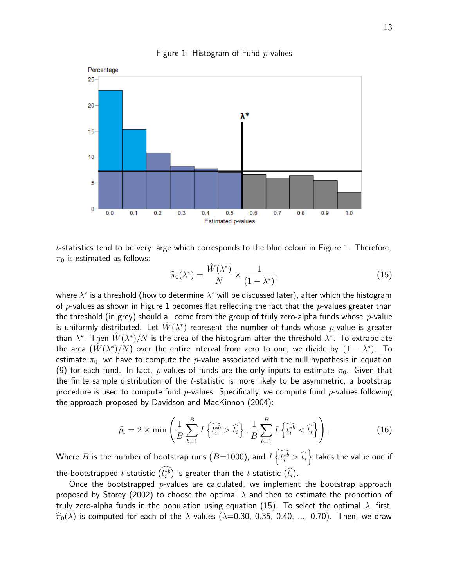

Figure 1: Histogram of Fund  $p$ -values

 $t$ -statistics tend to be very large which corresponds to the blue colour in Figure 1. Therefore,  $\pi_0$  is estimated as follows:

$$
\widehat{\pi}_0(\lambda^*) = \frac{\widehat{W}(\lambda^*)}{N} \times \frac{1}{(1 - \lambda^*)},\tag{15}
$$

where  $\lambda^*$  is a threshold (how to determine  $\lambda^*$  will be discussed later), after which the histogram of p-values as shown in Figure 1 becomes flat reflecting the fact that the p-values greater than the threshold (in grey) should all come from the group of truly zero-alpha funds whose  $p$ -value is uniformly distributed. Let  $W(\lambda^*)$  represent the number of funds whose p-value is greater than  $\lambda^*$ . Then  $\hat{W}(\lambda^*)/N$  is the area of the histogram after the threshold  $\lambda^*$ . To extrapolate the area  $(W(\lambda^*)/N)$  over the entire interval from zero to one, we divide by  $(1 - \lambda^*)$ . To estimate  $\pi_0$ , we have to compute the p-value associated with the null hypothesis in equation (9) for each fund. In fact, p-values of funds are the only inputs to estimate  $\pi_0$ . Given that the finite sample distribution of the  $t$ -statistic is more likely to be asymmetric, a bootstrap procedure is used to compute fund p-values. Specifically, we compute fund p-values following the approach proposed by Davidson and MacKinnon (2004):

$$
\widehat{p}_i = 2 \times \min\left(\frac{1}{B} \sum_{b=1}^B I\left\{\widehat{t_i^{*b}} > \widehat{t_i}\right\}, \frac{1}{B} \sum_{b=1}^B I\left\{\widehat{t_i^{*b}} < \widehat{t_i}\right\}\right). \tag{16}
$$

Where  $B$  is the number of bootstrap runs  $(B{=}1000)$ , and  $I\left\{\widehat{t_i^{*b}} > \widehat{t_i} \right\}$  $\}$  takes the value one if the bootstrapped *t*-statistic  $(t_i^{\ast b})$  is greater than the *t*-statistic  $(\hat{t_i})$ .

Once the bootstrapped  $p$ -values are calculated, we implement the bootstrap approach proposed by Storey (2002) to choose the optimal  $\lambda$  and then to estimate the proportion of truly zero-alpha funds in the population using equation (15). To select the optimal  $\lambda$ , first,  $\widehat{\pi}_0(\lambda)$  is computed for each of the  $\lambda$  values ( $\lambda$ =0.30, 0.35, 0.40, ..., 0.70). Then, we draw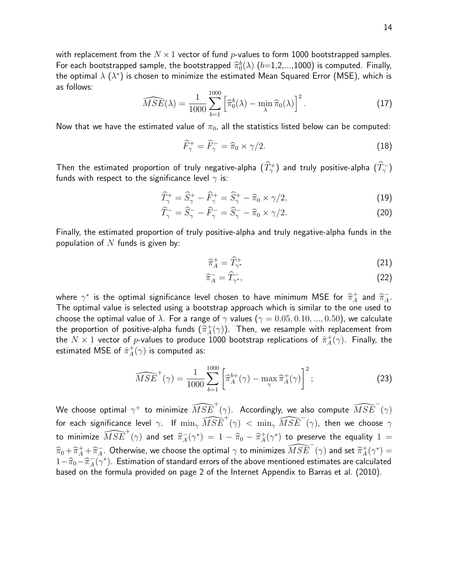$$
\widehat{MSE}(\lambda) = \frac{1}{1000} \sum_{b=1}^{1000} \left[ \widehat{\pi}_0^b(\lambda) - \min_{\lambda} \widehat{\pi}_0(\lambda) \right]^2.
$$
 (17)

Now that we have the estimated value of  $\pi_0$ , all the statistics listed below can be computed:

$$
\widehat{F}_{\gamma}^{+} = \widehat{F}_{\gamma}^{-} = \widehat{\pi}_0 \times \gamma/2.
$$
 (18)

Then the estimated proportion of truly negative-alpha  $(\hat{T}_{\gamma}^+)$  and truly positive-alpha  $(\hat{T}_{\gamma}^-)$ funds with respect to the significance level  $\gamma$  is:

$$
\widehat{T}_{\gamma}^{+} = \widehat{S}_{\gamma}^{+} - \widehat{F}_{\gamma}^{+} = \widehat{S}_{\gamma}^{+} - \widehat{\pi}_{0} \times \gamma/2, \tag{19}
$$

$$
\widehat{T}_{\gamma}^{-} = \widehat{S}_{\gamma}^{-} - \widehat{F}_{\gamma}^{-} = \widehat{S}_{\gamma}^{-} - \widehat{\pi}_0 \times \gamma/2.
$$
 (20)

Finally, the estimated proportion of truly positive-alpha and truly negative-alpha funds in the population of  $N$  funds is given by:

$$
\widehat{\pi}_A^+ = \widehat{T}_{\gamma^*}^+ \tag{21}
$$

$$
\widehat{\pi}_A^- = \widehat{T}_{\gamma^*},\tag{22}
$$

where  $\gamma^*$  is the optimal significance level chosen to have minimum MSE for  $\hat{\pi}_A^+$  and  $\hat{\pi}_A^-$ . The optimal value is selected using a bootstrap approach which is similar to the one used to choose the optimal value of  $\lambda$ . For a range of  $\gamma$  values ( $\gamma = 0.05, 0.10, ..., 0.50$ ), we calculate the proportion of positive-alpha funds  $(\hat{\pi}_A^+(\gamma))$ . Then, we resample with replacement from the  $N\times 1$  vector of  $p$ -values to produce 1000 bootstrap replications of  $\hat{\pi}_A^+(\gamma).$  Finally, the estimated MSE of  $\hat{\pi}^+_A(\gamma)$  is computed as:

$$
\widehat{MSE}^+(\gamma) = \frac{1}{1000} \sum_{b=1}^{1000} \left[ \widehat{\pi}_A^{b+}(\gamma) - \max_{\gamma} \widehat{\pi}_A^+(\gamma) \right]^2; \tag{23}
$$

We choose optimal  $\gamma^+$  to minimize  $\widehat{MSE}^+(\gamma).$  Accordingly, we also compute  $\widehat{MSE}^-(\gamma)$ for each significance level  $\gamma.$  If  $\min_\gamma \widehat{MSE}^+(\gamma) \ < \ \min_\gamma \widehat{MSE}^-(\gamma).$  then we choose  $\gamma$ to minimize  $\widehat{MSE}^+(\gamma)$  and set  $\widehat{\pi}^-_A(\gamma^*) = 1 - \widehat{\pi}_0 - \widehat{\pi}^+_A(\gamma^*)$  to preserve the equality  $1 =$  $\widehat{\pi}_0 + \widehat{\pi}_A^+ + \widehat{\pi}_A^-$ . Otherwise, we choose the optimal  $\gamma$  to minimizes  $\widehat{MSE}^-(\gamma)$  and set  $\widehat{\pi}_A^+(\gamma^*) =$  $1-\widehat{\pi}_0-\widehat{\pi}_A^-(\gamma^*)$ . Estimation of standard errors of the above mentioned estimates are calculated<br>began as the formula erroristed are now 2 of the laternat American in to Berres at al. (2010) based on the formula provided on page 2 of the Internet Appendix to Barras et al. (2010).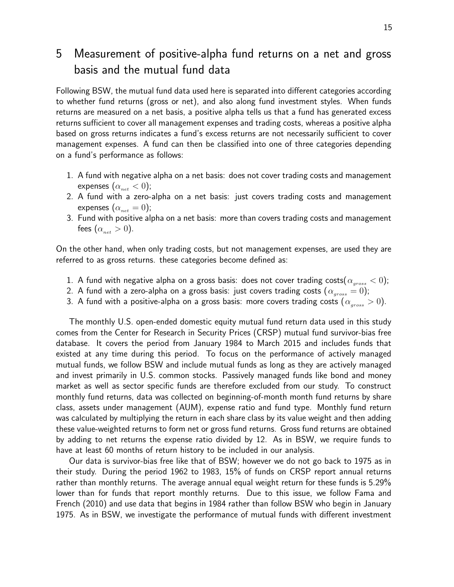## 5 Measurement of positive-alpha fund returns on a net and gross basis and the mutual fund data

Following BSW, the mutual fund data used here is separated into different categories according to whether fund returns (gross or net), and also along fund investment styles. When funds returns are measured on a net basis, a positive alpha tells us that a fund has generated excess returns sufficient to cover all management expenses and trading costs, whereas a positive alpha based on gross returns indicates a fund's excess returns are not necessarily sufficient to cover management expenses. A fund can then be classified into one of three categories depending on a fund's performance as follows:

- 1. A fund with negative alpha on a net basis: does not cover trading costs and management expenses  $(\alpha_{net} < 0);$
- 2. A fund with a zero-alpha on a net basis: just covers trading costs and management expenses  $(\alpha_{net} = 0);$
- 3. Fund with positive alpha on a net basis: more than covers trading costs and management fees  $(\alpha_{net} > 0)$ .

On the other hand, when only trading costs, but not management expenses, are used they are referred to as gross returns. these categories become defined as:

- 1. A fund with negative alpha on a gross basis: does not cover trading costs $(\alpha_{\rm{aross}} < 0);$
- 2. A fund with a zero-alpha on a gross basis: just covers trading costs  $(\alpha_{gross} = 0)$ ;
- 3. A fund with a positive-alpha on a gross basis: more covers trading costs ( $\alpha_{cross} > 0$ ).

The monthly U.S. open-ended domestic equity mutual fund return data used in this study comes from the Center for Research in Security Prices (CRSP) mutual fund survivor-bias free database. It covers the period from January 1984 to March 2015 and includes funds that existed at any time during this period. To focus on the performance of actively managed mutual funds, we follow BSW and include mutual funds as long as they are actively managed and invest primarily in U.S. common stocks. Passively managed funds like bond and money market as well as sector specific funds are therefore excluded from our study. To construct monthly fund returns, data was collected on beginning-of-month month fund returns by share class, assets under management (AUM), expense ratio and fund type. Monthly fund return was calculated by multiplying the return in each share class by its value weight and then adding these value-weighted returns to form net or gross fund returns. Gross fund returns are obtained by adding to net returns the expense ratio divided by 12. As in BSW, we require funds to have at least 60 months of return history to be included in our analysis.

Our data is survivor-bias free like that of BSW; however we do not go back to 1975 as in their study. During the period 1962 to 1983, 15% of funds on CRSP report annual returns rather than monthly returns. The average annual equal weight return for these funds is 5.29% lower than for funds that report monthly returns. Due to this issue, we follow Fama and French (2010) and use data that begins in 1984 rather than follow BSW who begin in January 1975. As in BSW, we investigate the performance of mutual funds with different investment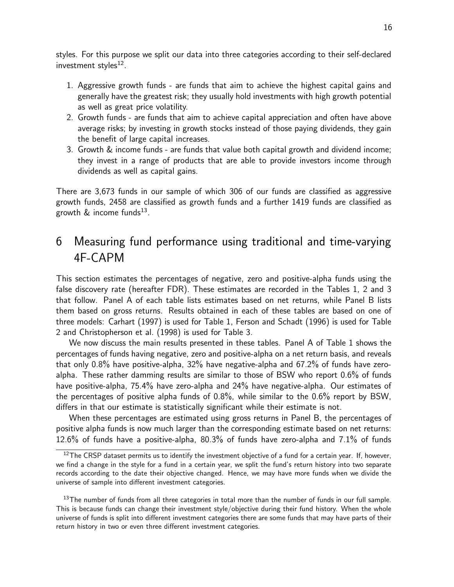styles. For this purpose we split our data into three categories according to their self-declared investment styles $^{12}$ .

- 1. Aggressive growth funds are funds that aim to achieve the highest capital gains and generally have the greatest risk; they usually hold investments with high growth potential as well as great price volatility.
- 2. Growth funds are funds that aim to achieve capital appreciation and often have above average risks; by investing in growth stocks instead of those paying dividends, they gain the benefit of large capital increases.
- 3. Growth & income funds are funds that value both capital growth and dividend income; they invest in a range of products that are able to provide investors income through dividends as well as capital gains.

There are 3,673 funds in our sample of which 306 of our funds are classified as aggressive growth funds, 2458 are classified as growth funds and a further 1419 funds are classified as growth  $\&$  income funds<sup>13</sup>.

## 6 Measuring fund performance using traditional and time-varying 4F-CAPM

This section estimates the percentages of negative, zero and positive-alpha funds using the false discovery rate (hereafter FDR). These estimates are recorded in the Tables 1, 2 and 3 that follow. Panel A of each table lists estimates based on net returns, while Panel B lists them based on gross returns. Results obtained in each of these tables are based on one of three models: Carhart (1997) is used for Table 1, Ferson and Schadt (1996) is used for Table 2 and Christopherson et al. (1998) is used for Table 3.

We now discuss the main results presented in these tables. Panel A of Table 1 shows the percentages of funds having negative, zero and positive-alpha on a net return basis, and reveals that only 0.8% have positive-alpha, 32% have negative-alpha and 67.2% of funds have zeroalpha. These rather damming results are similar to those of BSW who report 0.6% of funds have positive-alpha, 75.4% have zero-alpha and 24% have negative-alpha. Our estimates of the percentages of positive alpha funds of 0.8%, while similar to the 0.6% report by BSW, differs in that our estimate is statistically significant while their estimate is not.

When these percentages are estimated using gross returns in Panel B, the percentages of positive alpha funds is now much larger than the corresponding estimate based on net returns: 12.6% of funds have a positive-alpha, 80.3% of funds have zero-alpha and 7.1% of funds

 $12$ The CRSP dataset permits us to identify the investment objective of a fund for a certain year. If, however, we find a change in the style for a fund in a certain year, we split the fund's return history into two separate records according to the date their objective changed. Hence, we may have more funds when we divide the universe of sample into different investment categories.

<sup>&</sup>lt;sup>13</sup>The number of funds from all three categories in total more than the number of funds in our full sample. This is because funds can change their investment style/objective during their fund history. When the whole universe of funds is split into different investment categories there are some funds that may have parts of their return history in two or even three different investment categories.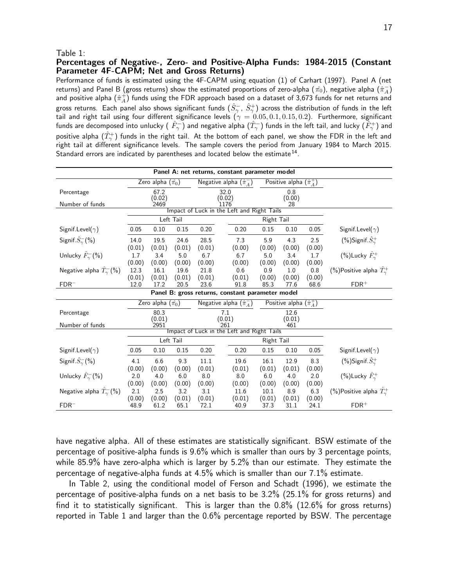#### Table 1:

#### Percentages of Negative-, Zero- and Positive-Alpha Funds: 1984-2015 (Constant Parameter 4F-CAPM; Net and Gross Returns)

Performance of funds is estimated using the 4F-CAPM using equation (1) of Carhart (1997). Panel A (net returns) and Panel B (gross returns) show the estimated proportions of zero-alpha ( $\hat{\pi_0}$ ), negative alpha ( $\hat{\pi}_A^-$ ) and positive alpha  $(\hat{\pi}_A^+)$  funds using the FDR approach based on a dataset of 3,673 funds for net returns and gross returns. Each panel also shows significant funds  $(\hat{S}_\gamma^-,\,\hat{S}_\gamma^+)$  across the distribution of funds in the left tail and right tail using four different significance levels  $(\gamma = 0.05, 0.1, 0.15, 0.2)$ . Furthermore, significant funds are decomposed into unlucky (  $\hat{F}^-_\gamma)$  and negative alpha  $(\hat{T}_\gamma^-)$  funds in the left tail, and lucky ( $\tilde{F}^+_\gamma)$  and positive alpha  $(\hat{T}_\gamma^+)$  funds in the right tail. At the bottom of each panel, we show the FDR in the left and right tail at different significance levels. The sample covers the period from January 1984 to March 2015. Standard errors are indicated by parentheses and located below the estimate<sup>14</sup>.

| Panel A: net returns, constant parameter model   |                                            |                            |                |                |                                            |                |                                  |                |                                          |  |  |
|--------------------------------------------------|--------------------------------------------|----------------------------|----------------|----------------|--------------------------------------------|----------------|----------------------------------|----------------|------------------------------------------|--|--|
|                                                  |                                            | Zero alpha $(\hat{\pi_0})$ |                |                | Negative alpha $(\hat{\pi}_A^-)$           |                | Positive alpha $(\hat{\pi}_A^+)$ |                |                                          |  |  |
| Percentage                                       |                                            | 67.2                       |                |                | 32.0                                       |                | 0.8                              |                |                                          |  |  |
| Number of funds                                  |                                            | (0.02)<br>2469             |                |                | (0.02)<br>1176                             |                | (0.00)<br>28                     |                |                                          |  |  |
|                                                  | Impact of Luck in the Left and Right Tails |                            |                |                |                                            |                |                                  |                |                                          |  |  |
|                                                  |                                            |                            | Left Tail      |                |                                            | Right Tail     |                                  |                |                                          |  |  |
| Signif.Level( $\gamma$ )                         | 0.05                                       | 0.10                       | 0.15           | 0.20           | 0.20                                       | 0.15           | 0.10                             | 0.05           | Signif.Level( $\gamma$ )                 |  |  |
| Signif. $\hat{S}_{\gamma}^{-}(\%)$               | 14.0<br>(0.01)                             | 19.5<br>(0.01)             | 24.6<br>(0.01) | 28.5<br>(0.01) | 7.3<br>(0.00)                              | 5.9<br>(0.00)  | 4.3<br>(0.00)                    | 2.5<br>(0.00)  | (%)Signif. $S^+_\gamma$                  |  |  |
| Unlucky $\hat{F}_{\gamma}^{-}(\%)$               | 1.7                                        | 3.4                        | 5.0            | 6.7            | 6.7                                        | 5.0            | 3.4                              | 1.7            | (%)Lucky $\hat{F}_{\gamma}^{+}$          |  |  |
|                                                  | (0.00)                                     | (0.00)                     | (0.00)         | (0.00)         | (0.00)                                     | (0.00)         | (0.00)                           | (0.00)         |                                          |  |  |
| Negative alpha $\hat{T}_{\gamma}^{-}(\%)$        | 12.3                                       | 16.1                       | 19.6           | 21.8           | 0.6                                        | 0.9            | 1.0                              | 0.8            | (%)Positive alpha $\hat{T}_{\gamma}^{+}$ |  |  |
| $FDR-$                                           | (0.01)<br>12.0                             | (0.01)<br>17.2             | (0.01)<br>20.5 | (0.01)<br>23.6 | (0.01)<br>91.8                             | (0.00)<br>85.3 | (0.00)<br>77.6                   | (0.00)<br>68.6 | $FDR$ <sup>+</sup>                       |  |  |
| Panel B: gross returns, constant parameter model |                                            |                            |                |                |                                            |                |                                  |                |                                          |  |  |
|                                                  |                                            | Zero alpha $(\hat{\pi_0})$ |                |                | Negative alpha $(\hat{\pi}_A^-)$           |                | Positive alpha $(\hat{\pi}_A^+)$ |                |                                          |  |  |
| Percentage                                       |                                            | 80.3                       |                |                | 7.1                                        |                |                                  |                |                                          |  |  |
| Number of funds                                  |                                            | (0.01)<br>2951             |                |                | (0.01)<br>261                              |                |                                  |                |                                          |  |  |
|                                                  |                                            |                            |                |                | Impact of Luck in the Left and Right Tails |                |                                  |                |                                          |  |  |
|                                                  |                                            |                            | Left Tail      |                |                                            | Right Tail     |                                  |                |                                          |  |  |
| Signif.Level( $\gamma$ )                         | 0.05                                       | 0.10                       | 0.15           | 0.20           | 0.20                                       | 0.15           | 0.10                             | 0.05           | Signif. Level( $\gamma$ )                |  |  |
| Signif. $\hat{S}_{\gamma}^{-}(\%)$               | 4.1                                        | 6.6                        | 9.3            | 11.1           | 19.6                                       | 16.1           | 12.9                             | 8.3            | (%)Signif. $\hat{S}^+_{\gamma}$          |  |  |
|                                                  | (0.00)                                     | (0.00)                     | (0.00)         | (0.01)         | (0.01)                                     | (0.01)         | (0.01)                           | (0.00)         |                                          |  |  |
| Unlucky $\hat{F}_{\gamma}^{-}(\%)$               | 2.0                                        | 4.0                        | 6.0            | 8.0            | 8.0                                        | 6.0            | 4.0                              | 2.0            | (%)Lucky $\hat{F}_{\gamma}^{+}$          |  |  |
|                                                  | (0.00)                                     | (0.00)                     | (0.00)         | (0.00)         | (0.00)                                     | (0.00)         | (0.00)                           | (0.00)         |                                          |  |  |
| Negative alpha $\hat{T}_{\gamma}^{-}(\%)$        | 2.1<br>(0.00)                              | 2.5<br>(0.00)              | 3.2<br>(0.01)  | 3.1<br>(0.01)  | 11.6<br>(0.01)                             | 10.1<br>(0.01) | 8.9<br>(0.01)                    | 6.3<br>(0.00)  | (%)Positive alpha $\hat{T}_{\gamma}^{+}$ |  |  |
| $FDR^-$                                          | 48.9                                       | 61.2                       | 65.1           | 72.1           | 40.9                                       | 37.3           | 31.1                             | 24.1           | $FDR$ <sup>+</sup>                       |  |  |

have negative alpha. All of these estimates are statistically significant. BSW estimate of the percentage of positive-alpha funds is 9.6% which is smaller than ours by 3 percentage points, while 85.9% have zero-alpha which is larger by 5.2% than our estimate. They estimate the percentage of negative-alpha funds at 4.5% which is smaller than our 7.1% estimate.

In Table 2, using the conditional model of Ferson and Schadt (1996), we estimate the percentage of positive-alpha funds on a net basis to be 3.2% (25.1% for gross returns) and find it to statistically significant. This is larger than the 0.8% (12.6% for gross returns) reported in Table 1 and larger than the 0.6% percentage reported by BSW. The percentage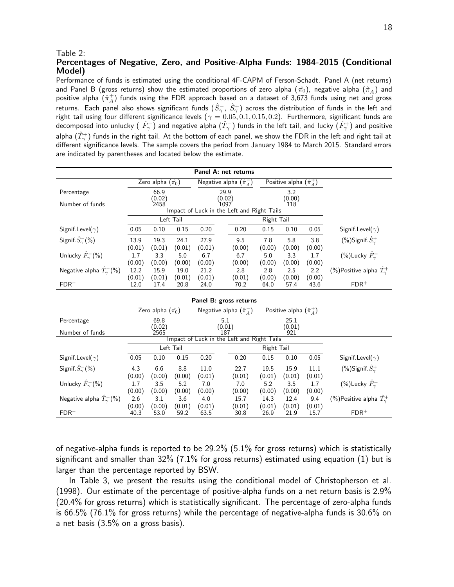#### Table 2:

Negative alpha  $\hat{T}_{\gamma}^{-}(\%)$ 

#### Percentages of Negative, Zero, and Positive-Alpha Funds: 1984-2015 (Conditional Model)

Performance of funds is estimated using the conditional 4F-CAPM of Ferson-Schadt. Panel A (net returns) and Panel B (gross returns) show the estimated proportions of zero alpha ( $\hat{\pi_0}$ ), negative alpha  $(\hat{\pi}^-_A)$  and positive alpha  $(\hat{\pi}^+_A)$  funds using the FDR approach based on a dataset of 3,673 funds using net and gross returns. Each panel also shows significant funds  $(\hat{S}^-_\gamma,\,\hat{S}^+_\gamma)$  across the distribution of funds in the left and right tail using four different significance levels ( $\gamma = 0.05, 0.1, 0.15, 0.2$ ). Furthermore, significant funds are decomposed into unlucky (  $\hat{F}^-_\gamma)$  and negative alpha  $(\hat{T}^-_\gamma)$  funds in the left tail, and lucky  $(\hat{F}^+_\gamma)$  and positive alpha  $(\hat{T}_\gamma^+)$  funds in the right tail. At the bottom of each panel, we show the FDR in the left and right tail at different significance levels. The sample covers the period from January 1984 to March 2015. Standard errors are indicated by parentheses and located below the estimate.

| Panel A: net returns                      |                |                            |                |                |               |                                            |                |                                  |                |                                          |  |
|-------------------------------------------|----------------|----------------------------|----------------|----------------|---------------|--------------------------------------------|----------------|----------------------------------|----------------|------------------------------------------|--|
|                                           |                | Zero alpha $(\hat{\pi_0})$ |                |                |               | Negative alpha $(\hat{\pi}_A^-)$           |                | Positive alpha $(\hat{\pi}_A^+)$ |                |                                          |  |
| Percentage                                |                | 66.9                       |                | 29.9           |               |                                            |                | 3.2                              |                |                                          |  |
| Number of funds                           |                | (0.02)<br>2458             |                | (0.02)<br>1097 |               |                                            |                | (0.00)<br>118                    |                |                                          |  |
|                                           |                |                            |                |                |               | Impact of Luck in the Left and Right Tails |                |                                  |                |                                          |  |
|                                           |                |                            | Left Tail      |                |               |                                            | Right Tail     |                                  |                |                                          |  |
| Signif.Level( $\gamma$ )                  | 0.05           | 0.10                       | 0.15           | 0.20           |               | 0.20                                       | 0.15           | 0.10                             | 0.05           | Signif.Level( $\gamma$ )                 |  |
| Signif. $\hat{S}_{\gamma}^{-}(\%)$        | 13.9           | 19.3                       | 24.1           | 27.9           |               | 9.5                                        | 7.8            | 5.8                              | 3.8            | (%)Signif. $S^+_\gamma$                  |  |
|                                           | (0.01)         | (0.01)                     | (0.01)         | (0.01)         |               | (0.00)                                     | (0.00)         | (0.00)                           | (0.00)         |                                          |  |
| Unlucky $\hat{F}_{\gamma}^{-}(\% )$       | 1.7            | 3.3                        | 5.0            | 6.7            |               | 6.7                                        | 5.0            | 3.3                              | 1.7            | (%)Lucky $\hat{F}_{\gamma}^{+}$          |  |
|                                           | (0.00)         | (0.00)                     | (0.00)         | (0.00)         |               | (0.00)                                     | (0.00)         | (0.00)                           | (0.00)         |                                          |  |
| Negative alpha $\hat{T}_{\gamma}^{-}(\%)$ | 12.2           | 15.9                       | 19.0           | 21.2           |               | 2.8                                        | 2.8            | 2.5                              | 2.2            | (%)Positive alpha $\hat{T}_{\gamma}^{+}$ |  |
| $FDR^-$                                   | (0.01)<br>12.0 | (0.01)<br>17.4             | (0.01)<br>20.8 | (0.01)<br>24.0 |               | (0.01)<br>70.2                             | (0.00)<br>64.0 | (0.00)<br>57.4                   | (0.00)<br>43.6 | $FDR$ <sup>+</sup>                       |  |
|                                           |                |                            |                |                |               |                                            |                |                                  |                |                                          |  |
|                                           |                |                            |                |                |               | Panel B: gross returns                     |                |                                  |                |                                          |  |
|                                           |                | Zero alpha $(\hat{\pi_0})$ |                |                |               | Negative alpha $(\hat{\pi}_A^-)$           |                | Positive alpha $(\hat{\pi}_A^+)$ |                |                                          |  |
| Percentage                                |                | 69.8                       |                |                | 5.1           |                                            |                | 25.1                             |                |                                          |  |
| Number of funds                           |                | (0.02)<br>2565             |                |                | (0.01)<br>187 |                                            |                | (0.01)<br>921                    |                |                                          |  |
|                                           |                |                            |                |                |               | Impact of Luck in the Left and Right Tails |                |                                  |                |                                          |  |
|                                           |                |                            | Left Tail      |                |               |                                            | Right Tail     |                                  |                |                                          |  |
| Signif.Level( $\gamma$ )                  | 0.05           | 0.10                       | 0.15           | 0.20           |               | 0.20                                       | 0.15           | 0.10                             | 0.05           | Signif.Level( $\gamma$ )                 |  |
| Signif. $\hat{S}_{\gamma}^{-}(\%)$        | 4.3            | 6.6                        | 8.8            | 11.0           |               | 22.7                                       | 19.5           | 15.9                             | 11.1           | $%$ Signif. $\hat{S}_{\gamma}^{+}$       |  |
|                                           | (0.00)         | (0.00)                     | (0.00)         | (0.01)         |               | (0.01)                                     | (0.01)         | (0.01)                           | (0.01)         |                                          |  |
| Unlucky $\hat{F}_{\gamma}^{-}(\%)$        | 1.7            | 3.5                        | 5.2            | 7.0            |               | 7.0                                        | 5.2            | 3.5                              | 1.7            | (%)Lucky $\hat{F}_{\gamma}^{+}$          |  |
|                                           | (0.00)         | (0.00)                     | (0.00)         | (0.00)         |               | (0.00)                                     | (0.00)         | (0.00)                           | (0.00)         |                                          |  |

of negative-alpha funds is reported to be 29.2% (5.1% for gross returns) which is statistically significant and smaller than  $32\%$  (7.1% for gross returns) estimated using equation (1) but is larger than the percentage reported by BSW.

(0.00) (0.00) (0.01) (0.01) (0.01) (0.01) (0.01) (0.01) FDR<sup>−</sup> 40.3 53.0 59.2 63.5 30.8 26.9 21.9 15.7 FDR<sup>+</sup>

 $\hat{\gamma}_{\gamma}^-(\%)$   $\left[2.6\right]$   $\left[3.1\right]$   $\left[3.6\right]$   $\left[4.0\right]$   $\left[15.7\right]$   $\left[14.3\right]$   $\left[12.4\right]$   $\left[9.4\right]$   $\left(\% \right)$ Positive alpha  $\hat{T}_{\gamma}^+$ 

In Table 3, we present the results using the conditional model of Christopherson et al. (1998). Our estimate of the percentage of positive-alpha funds on a net return basis is 2.9% (20.4% for gross returns) which is statistically significant. The percentage of zero-alpha funds is 66.5% (76.1% for gross returns) while the percentage of negative-alpha funds is 30.6% on a net basis (3.5% on a gross basis).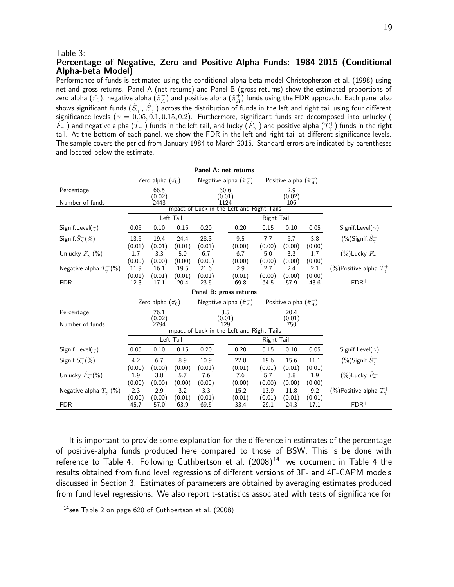#### Table 3:

#### Percentage of Negative, Zero and Positive-Alpha Funds: 1984-2015 (Conditional Alpha-beta Model)

Performance of funds is estimated using the conditional alpha-beta model Christopherson et al. (1998) using net and gross returns. Panel A (net returns) and Panel B (gross returns) show the estimated proportions of zero alpha  $(\hat{\pi_0})$ , negative alpha  $(\hat{\pi}^-_A)$  and positive alpha  $(\hat{\pi}^+_A)$  funds using the FDR approach. Each panel also shows significant funds  $(\hat S^-_\gamma,\,\hat S^+_\gamma)$  across the distribution of funds in the left and right tail using four different significance levels ( $\gamma = 0.05, 0.1, 0.15, 0.2$ ). Furthermore, significant funds are decomposed into unlucky (  $\hat{F}^-_\gamma$ ) and negative alpha  $(\hat{T}_\gamma^-)$  funds in the left tail, and lucky  $(\hat{F}_\gamma^+)$  and positive alpha  $(\hat{T}_\gamma^+)$  funds in the right tail. At the bottom of each panel, we show the FDR in the left and right tail at different significance levels. The sample covers the period from January 1984 to March 2015. Standard errors are indicated by parentheses and located below the estimate.

| Panel A: net returns              |                                                                              |                                                                                                          |                                                                                                                                                                    |                                                                                        |      |                                                                                                                                                                                            |                                                                              |                                                                                                                                                                                                                                           |                                                                                                                                                               |  |  |
|-----------------------------------|------------------------------------------------------------------------------|----------------------------------------------------------------------------------------------------------|--------------------------------------------------------------------------------------------------------------------------------------------------------------------|----------------------------------------------------------------------------------------|------|--------------------------------------------------------------------------------------------------------------------------------------------------------------------------------------------|------------------------------------------------------------------------------|-------------------------------------------------------------------------------------------------------------------------------------------------------------------------------------------------------------------------------------------|---------------------------------------------------------------------------------------------------------------------------------------------------------------|--|--|
|                                   |                                                                              |                                                                                                          |                                                                                                                                                                    |                                                                                        |      |                                                                                                                                                                                            |                                                                              |                                                                                                                                                                                                                                           |                                                                                                                                                               |  |  |
|                                   | 66.5                                                                         |                                                                                                          |                                                                                                                                                                    |                                                                                        |      |                                                                                                                                                                                            | 2.9                                                                          |                                                                                                                                                                                                                                           |                                                                                                                                                               |  |  |
| 2443                              |                                                                              |                                                                                                          |                                                                                                                                                                    | 1124                                                                                   |      |                                                                                                                                                                                            | 106                                                                          |                                                                                                                                                                                                                                           |                                                                                                                                                               |  |  |
|                                   |                                                                              |                                                                                                          |                                                                                                                                                                    |                                                                                        |      |                                                                                                                                                                                            |                                                                              |                                                                                                                                                                                                                                           |                                                                                                                                                               |  |  |
|                                   |                                                                              |                                                                                                          |                                                                                                                                                                    |                                                                                        |      |                                                                                                                                                                                            |                                                                              |                                                                                                                                                                                                                                           |                                                                                                                                                               |  |  |
| 0.05                              | 0.10                                                                         | 0.15                                                                                                     | 0.20                                                                                                                                                               |                                                                                        | 0.20 | 0.15                                                                                                                                                                                       | 0.10                                                                         | 0.05                                                                                                                                                                                                                                      | Signif. Level( $\gamma$ )                                                                                                                                     |  |  |
| 13.5                              | 19.4                                                                         | 24.4                                                                                                     | 28.3                                                                                                                                                               |                                                                                        | 9.5  | 7.7                                                                                                                                                                                        | 5.7                                                                          | 3.8                                                                                                                                                                                                                                       | (%)Signif. $\hat{S}_{\gamma}^{+}$                                                                                                                             |  |  |
|                                   |                                                                              |                                                                                                          |                                                                                                                                                                    |                                                                                        |      |                                                                                                                                                                                            |                                                                              |                                                                                                                                                                                                                                           |                                                                                                                                                               |  |  |
|                                   |                                                                              |                                                                                                          |                                                                                                                                                                    |                                                                                        |      |                                                                                                                                                                                            |                                                                              |                                                                                                                                                                                                                                           | (%)Lucky $\hat{F}_{\gamma}^{+}$                                                                                                                               |  |  |
|                                   |                                                                              |                                                                                                          |                                                                                                                                                                    |                                                                                        |      |                                                                                                                                                                                            |                                                                              |                                                                                                                                                                                                                                           |                                                                                                                                                               |  |  |
|                                   |                                                                              |                                                                                                          |                                                                                                                                                                    |                                                                                        |      |                                                                                                                                                                                            |                                                                              |                                                                                                                                                                                                                                           | (%)Positive alpha $\hat{T}_{\gamma}^{+}$                                                                                                                      |  |  |
|                                   |                                                                              |                                                                                                          |                                                                                                                                                                    |                                                                                        |      |                                                                                                                                                                                            |                                                                              |                                                                                                                                                                                                                                           | $FDR$ <sup>+</sup>                                                                                                                                            |  |  |
| $FDR^-$<br>Panel B: gross returns |                                                                              |                                                                                                          |                                                                                                                                                                    |                                                                                        |      |                                                                                                                                                                                            |                                                                              |                                                                                                                                                                                                                                           |                                                                                                                                                               |  |  |
|                                   |                                                                              |                                                                                                          |                                                                                                                                                                    |                                                                                        |      |                                                                                                                                                                                            |                                                                              |                                                                                                                                                                                                                                           |                                                                                                                                                               |  |  |
|                                   | 76.1                                                                         |                                                                                                          |                                                                                                                                                                    | 3.5<br>20.4                                                                            |      |                                                                                                                                                                                            |                                                                              |                                                                                                                                                                                                                                           |                                                                                                                                                               |  |  |
|                                   |                                                                              |                                                                                                          |                                                                                                                                                                    |                                                                                        |      |                                                                                                                                                                                            |                                                                              |                                                                                                                                                                                                                                           |                                                                                                                                                               |  |  |
|                                   |                                                                              |                                                                                                          |                                                                                                                                                                    |                                                                                        |      |                                                                                                                                                                                            |                                                                              |                                                                                                                                                                                                                                           |                                                                                                                                                               |  |  |
|                                   |                                                                              |                                                                                                          |                                                                                                                                                                    |                                                                                        |      |                                                                                                                                                                                            |                                                                              |                                                                                                                                                                                                                                           |                                                                                                                                                               |  |  |
| 0.05                              | 0.10                                                                         | 0.15                                                                                                     | 0.20                                                                                                                                                               |                                                                                        | 0.20 | 0.15                                                                                                                                                                                       | 0.10                                                                         | 0.05                                                                                                                                                                                                                                      | Signif. Level( $\gamma$ )                                                                                                                                     |  |  |
| 4.2                               | 6.7                                                                          | 8.9                                                                                                      | 10.9                                                                                                                                                               |                                                                                        | 22.8 | 19.6                                                                                                                                                                                       | 15.6                                                                         | 11.1                                                                                                                                                                                                                                      | $(\%)$ Signif. $\hat{S}^+_\gamma$                                                                                                                             |  |  |
| (0.00)                            | (0.00)                                                                       | (0.00)                                                                                                   |                                                                                                                                                                    |                                                                                        |      | (0.01)                                                                                                                                                                                     |                                                                              |                                                                                                                                                                                                                                           |                                                                                                                                                               |  |  |
| 1.9                               | 3.8                                                                          | 5.7                                                                                                      | 7.6                                                                                                                                                                |                                                                                        | 7.6  | 5.7                                                                                                                                                                                        | 3.8                                                                          | 1.9                                                                                                                                                                                                                                       | (%)Lucky $\hat{F}_{\gamma}^{+}$                                                                                                                               |  |  |
|                                   |                                                                              |                                                                                                          |                                                                                                                                                                    |                                                                                        |      |                                                                                                                                                                                            |                                                                              |                                                                                                                                                                                                                                           |                                                                                                                                                               |  |  |
|                                   |                                                                              |                                                                                                          |                                                                                                                                                                    |                                                                                        |      |                                                                                                                                                                                            |                                                                              |                                                                                                                                                                                                                                           | (%)Positive alpha $\hat{T}_{\gamma}^{+}$                                                                                                                      |  |  |
| 45.7                              | 57.0                                                                         | 63.9                                                                                                     | 69.5                                                                                                                                                               |                                                                                        | 33.4 | 29.1                                                                                                                                                                                       | 24.3                                                                         | 17.1                                                                                                                                                                                                                                      | $FDR$ <sup>+</sup>                                                                                                                                            |  |  |
|                                   | (0.01)<br>1.7<br>(0.00)<br>11.9<br>(0.01)<br>12.3<br>(0.00)<br>2.3<br>(0.00) | (0.02)<br>(0.01)<br>3.3<br>(0.00)<br>16.1<br>(0.01)<br>17.1<br>(0.02)<br>2794<br>(0.00)<br>2.9<br>(0.00) | Zero alpha $(\hat{\pi_0})$<br>Left Tail<br>(0.01)<br>5.0<br>(0.00)<br>19.5<br>(0.01)<br>20.4<br>Zero alpha $(\hat{\pi_0})$<br>Left Tail<br>(0.00)<br>3.2<br>(0.01) | (0.01)<br>6.7<br>(0.00)<br>21.6<br>(0.01)<br>23.5<br>(0.01)<br>(0.00)<br>3.3<br>(0.01) | 129  | Negative alpha $(\hat{\pi}_A^-)$<br>30.6<br>(0.01)<br>(0.00)<br>6.7<br>(0.00)<br>2.9<br>(0.01)<br>69.8<br>Negative alpha $(\hat{\pi}_A^-)$<br>(0.01)<br>(0.01)<br>(0.00)<br>15.2<br>(0.01) | (0.00)<br>5.0<br>(0.00)<br>2.7<br>(0.00)<br>64.5<br>(0.00)<br>13.9<br>(0.01) | (0.02)<br>Impact of Luck in the Left and Right Tails<br>Right Tail<br>(0.00)<br>3.3<br>(0.00)<br>2.4<br>(0.00)<br>57.9<br>(0.01)<br>750<br>Impact of Luck in the Left and Right Tails<br>Right Tail<br>(0.01)<br>(0.00)<br>11.8<br>(0.01) | Positive alpha $(\hat{\pi}_A^+)$<br>(0.00)<br>1.7<br>(0.00)<br>2.1<br>(0.00)<br>43.6<br>Positive alpha $(\hat{\pi}_A^+)$<br>(0.01)<br>(0.00)<br>9.2<br>(0.01) |  |  |

It is important to provide some explanation for the difference in estimates of the percentage of positive-alpha funds produced here compared to those of BSW. This is be done with reference to Table 4. Following Cuthbertson et al.  $(2008)^{14}$ , we document in Table 4 the results obtained from fund level regressions of different versions of 3F- and 4F-CAPM models discussed in Section 3. Estimates of parameters are obtained by averaging estimates produced from fund level regressions. We also report t-statistics associated with tests of significance for

<sup>14</sup>see Table 2 on page 620 of Cuthbertson et al. (2008)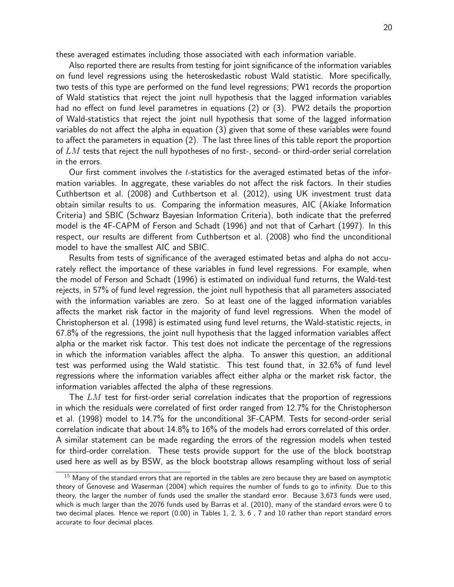these averaged estimates including those associated with each information variable.

Also reported there are results from testing for joint significance of the information variables on fund level regressions using the heteroskedastic robust Wald statistic. More specifically, two tests of this type are performed on the fund level regressions; PW1 records the proportion of Wald statistics that reject the joint null hypothesis that the lagged information variables had no effect on fund level parametres in equations (2) or (3). PW2 details the proportion of Wald-statistics that reject the joint null hypothesis that some of the lagged information variables do not affect the alpha in equation (3) given that some of these variables were found to affect the parameters in equation (2). The last three lines of this table report the proportion of  $LM$  tests that reject the null hypotheses of no first-, second- or third-order serial correlation in the errors.

Our first comment involves the  $t$ -statistics for the averaged estimated betas of the information variables. In aggregate, these variables do not affect the risk factors. In their studies Cuthbertson et al. (2008) and Cuthbertson et al. (2012), using UK investment trust data obtain similar results to us. Comparing the information measures, AIC (Akiake Information Criteria) and SBIC (Schwarz Bayesian Information Criteria), both indicate that the preferred model is the 4F-CAPM of Ferson and Schadt (1996) and not that of Carhart (1997). In this respect, our results are different from Cuthbertson et al. (2008) who find the unconditional model to have the smallest AIC and SBIC.

Results from tests of significance of the averaged estimated betas and alpha do not accurately reflect the importance of these variables in fund level regressions. For example, when the model of Ferson and Schadt (1996) is estimated on individual fund returns, the Wald-test rejects, in 57% of fund level regression, the joint null hypothesis that all parameters associated with the information variables are zero. So at least one of the lagged information variables affects the market risk factor in the majority of fund level regressions. When the model of Christopherson et al. (1998) is estimated using fund level returns, the Wald-statistic rejects, in 67.8% of the regressions, the joint null hypothesis that the lagged information variables affect alpha or the market risk factor. This test does not indicate the percentage of the regressions in which the information variables affect the alpha. To answer this question, an additional test was performed using the Wald statistic. This test found that, in 32.6% of fund level regressions where the information variables affect either alpha or the market risk factor, the information variables affected the alpha of these regressions.

The  $LM$  test for first-order serial correlation indicates that the proportion of regressions in which the residuals were correlated of first order ranged from 12.7% for the Christopherson et al. (1998) model to 14.7% for the unconditional 3F-CAPM. Tests for second-order serial correlation indicate that about 14.8% to 16% of the models had errors correlated of this order. A similar statement can be made regarding the errors of the regression models when tested for third-order correlation. These tests provide support for the use of the block bootstrap used here as well as by BSW, as the block bootstrap allows resampling without loss of serial

 $15$  Many of the standard errors that are reported in the tables are zero because they are based on asymptotic theory of Genovese and Waserman (2004) which requires the number of funds to go to infinity. Due to this theory, the larger the number of funds used the smaller the standard error. Because 3,673 funds were used, which is much larger than the 2076 funds used by Barras et al. (2010), many of the standard errors were 0 to two decimal places. Hence we report (0.00) in Tables 1, 2, 3, 6 , 7 and 10 rather than report standard errors accurate to four decimal places.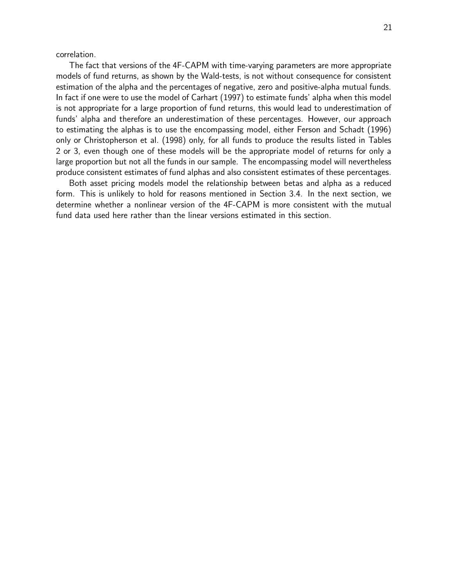correlation.

The fact that versions of the 4F-CAPM with time-varying parameters are more appropriate models of fund returns, as shown by the Wald-tests, is not without consequence for consistent estimation of the alpha and the percentages of negative, zero and positive-alpha mutual funds. In fact if one were to use the model of Carhart (1997) to estimate funds' alpha when this model is not appropriate for a large proportion of fund returns, this would lead to underestimation of funds' alpha and therefore an underestimation of these percentages. However, our approach to estimating the alphas is to use the encompassing model, either Ferson and Schadt (1996) only or Christopherson et al. (1998) only, for all funds to produce the results listed in Tables 2 or 3, even though one of these models will be the appropriate model of returns for only a large proportion but not all the funds in our sample. The encompassing model will nevertheless produce consistent estimates of fund alphas and also consistent estimates of these percentages.

Both asset pricing models model the relationship between betas and alpha as a reduced form. This is unlikely to hold for reasons mentioned in Section 3.4. In the next section, we determine whether a nonlinear version of the 4F-CAPM is more consistent with the mutual fund data used here rather than the linear versions estimated in this section.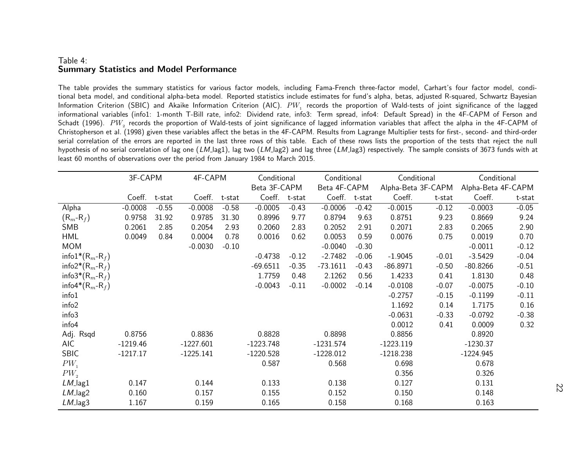#### Table 4: Summary Statistics and Model Performance

The table provides the summary statistics for various factor models, including Fama-French three-factor model, Carhart's four factor model, conditional beta model, and conditional alpha-beta model. Reported statistics include estimates for fund's alpha, betas, adjusted R-squared, Schwartz Bayesian Information Criterion (SBIC) and Akaike Information Criterion (AIC).  $PW_{\rm 1}$  records the proportion of Wald-tests of joint significance of the lagged informational variables (info1: 1-month T-Bill rate, info2: Dividend rate, info3: Term spread, info4: Default Spread) in the 4F-CAPM of Ferson and Schadt (1996).  $\ P{W_2}$  records the proportion of Wald-tests of joint significance of lagged information variables that affect the alpha in the 4F-CAPM of Christopherson et al. (1998) <sup>g</sup>iven these variables affect the betas in the 4F-CAPM. Results from Lagrange Multiplier tests for first-, second- and third-order serial correlation of the errors are reported in the last three rows of this table. Each of these rows lists the proportion of the tests that reject the null hypothesis of no serial correlation of lag one (LM\_lag1), lag two (LM\_lag2) and lag three (LM\_lag3) respectively. The sample consists of 3673 funds with at least 60 months of observations over the period from January 1984 to March 2015.

|                     | 3F-CAPM    |         | 4F-CAPM     |         | Conditional  |         | Conditional  |         | Conditional        |         | Conditional        |         |
|---------------------|------------|---------|-------------|---------|--------------|---------|--------------|---------|--------------------|---------|--------------------|---------|
|                     |            |         |             |         | Beta 3F-CAPM |         | Beta 4F-CAPM |         | Alpha-Beta 3F-CAPM |         | Alpha-Beta 4F-CAPM |         |
|                     | Coeff.     | t-stat  | Coeff.      | t-stat  | Coeff.       | t-stat  | Coeff.       | t-stat  | Coeff.             | t-stat  | Coeff.             | t-stat  |
| Alpha               | $-0.0008$  | $-0.55$ | $-0.0008$   | $-0.58$ | $-0.0005$    | $-0.43$ | $-0.0006$    | $-0.42$ | $-0.0015$          | $-0.12$ | $-0.0003$          | $-0.05$ |
| $(R_m-R_f)$         | 0.9758     | 31.92   | 0.9785      | 31.30   | 0.8996       | 9.77    | 0.8794       | 9.63    | 0.8751             | 9.23    | 0.8669             | 9.24    |
| SMB                 | 0.2061     | 2.85    | 0.2054      | 2.93    | 0.2060       | 2.83    | 0.2052       | 2.91    | 0.2071             | 2.83    | 0.2065             | 2.90    |
| <b>HML</b>          | 0.0049     | 0.84    | 0.0004      | 0.78    | 0.0016       | 0.62    | 0.0053       | 0.59    | 0.0076             | 0.75    | 0.0019             | 0.70    |
| <b>MOM</b>          |            |         | $-0.0030$   | $-0.10$ |              |         | $-0.0040$    | $-0.30$ |                    |         | $-0.0011$          | $-0.12$ |
| info $1^*(R_m-R_f)$ |            |         |             |         | $-0.4738$    | $-0.12$ | $-2.7482$    | $-0.06$ | $-1.9045$          | $-0.01$ | $-3.5429$          | $-0.04$ |
| info $2^*(R_m-R_f)$ |            |         |             |         | $-69.6511$   | $-0.35$ | $-73.1611$   | $-0.43$ | $-86.8971$         | $-0.50$ | $-80.8266$         | $-0.51$ |
| info3* $(R_m-R_f)$  |            |         |             |         | 1.7759       | 0.48    | 2.1262       | 0.56    | 1.4233             | 0.41    | 1.8130             | 0.48    |
| info4* $(R_m-R_f)$  |            |         |             |         | $-0.0043$    | $-0.11$ | $-0.0002$    | $-0.14$ | $-0.0108$          | $-0.07$ | $-0.0075$          | $-0.10$ |
| info1               |            |         |             |         |              |         |              |         | $-0.2757$          | $-0.15$ | $-0.1199$          | $-0.11$ |
| info <sub>2</sub>   |            |         |             |         |              |         |              |         | 1.1692             | 0.14    | 1.7175             | 0.16    |
| info3               |            |         |             |         |              |         |              |         | $-0.0631$          | $-0.33$ | $-0.0792$          | $-0.38$ |
| info4               |            |         |             |         |              |         |              |         | 0.0012             | 0.41    | 0.0009             | 0.32    |
| Adj. Rsqd           | 0.8756     |         | 0.8836      |         | 0.8828       |         | 0.8898       |         | 0.8856             |         | 0.8920             |         |
| <b>AIC</b>          | $-1219.46$ |         | $-1227.601$ |         | $-1223.748$  |         | $-1231.574$  |         | $-1223.119$        |         | $-1230.37$         |         |
| <b>SBIC</b>         | $-1217.17$ |         | $-1225.141$ |         | $-1220.528$  |         | $-1228.012$  |         | $-1218.238$        |         | $-1224.945$        |         |
| $PW_1$              |            |         |             |         | 0.587        |         | 0.568        |         | 0.698              |         | 0.678              |         |
| $PW_{2}$            |            |         |             |         |              |         |              |         | 0.356              |         | 0.326              |         |
| $LM$ lag $1$        | 0.147      |         | 0.144       |         | 0.133        |         | 0.138        |         | 0.127              |         | 0.131              |         |
| $LM$ lag2           | 0.160      |         | 0.157       |         | 0.155        |         | 0.152        |         | 0.150              |         | 0.148              |         |
| $LM$ lag3           | 1.167      |         | 0.159       |         | 0.165        |         | 0.158        |         | 0.168              |         | 0.163              |         |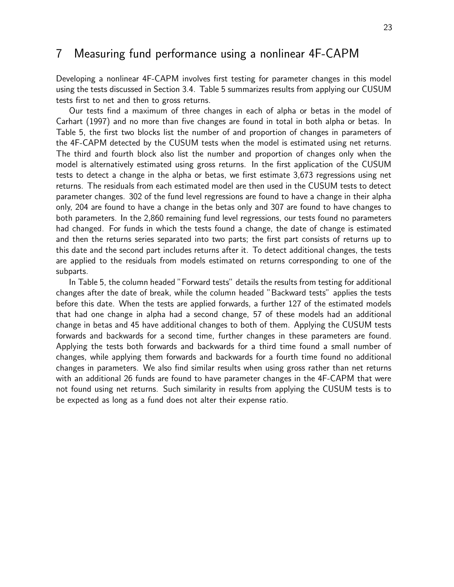## 7 Measuring fund performance using a nonlinear 4F-CAPM

Developing a nonlinear 4F-CAPM involves first testing for parameter changes in this model using the tests discussed in Section 3.4. Table 5 summarizes results from applying our CUSUM tests first to net and then to gross returns.

Our tests find a maximum of three changes in each of alpha or betas in the model of Carhart (1997) and no more than five changes are found in total in both alpha or betas. In Table 5, the first two blocks list the number of and proportion of changes in parameters of the 4F-CAPM detected by the CUSUM tests when the model is estimated using net returns. The third and fourth block also list the number and proportion of changes only when the model is alternatively estimated using gross returns. In the first application of the CUSUM tests to detect a change in the alpha or betas, we first estimate 3,673 regressions using net returns. The residuals from each estimated model are then used in the CUSUM tests to detect parameter changes. 302 of the fund level regressions are found to have a change in their alpha only, 204 are found to have a change in the betas only and 307 are found to have changes to both parameters. In the 2,860 remaining fund level regressions, our tests found no parameters had changed. For funds in which the tests found a change, the date of change is estimated and then the returns series separated into two parts; the first part consists of returns up to this date and the second part includes returns after it. To detect additional changes, the tests are applied to the residuals from models estimated on returns corresponding to one of the subparts.

In Table 5, the column headed "Forward tests" details the results from testing for additional changes after the date of break, while the column headed "Backward tests" applies the tests before this date. When the tests are applied forwards, a further 127 of the estimated models that had one change in alpha had a second change, 57 of these models had an additional change in betas and 45 have additional changes to both of them. Applying the CUSUM tests forwards and backwards for a second time, further changes in these parameters are found. Applying the tests both forwards and backwards for a third time found a small number of changes, while applying them forwards and backwards for a fourth time found no additional changes in parameters. We also find similar results when using gross rather than net returns with an additional 26 funds are found to have parameter changes in the 4F-CAPM that were not found using net returns. Such similarity in results from applying the CUSUM tests is to be expected as long as a fund does not alter their expense ratio.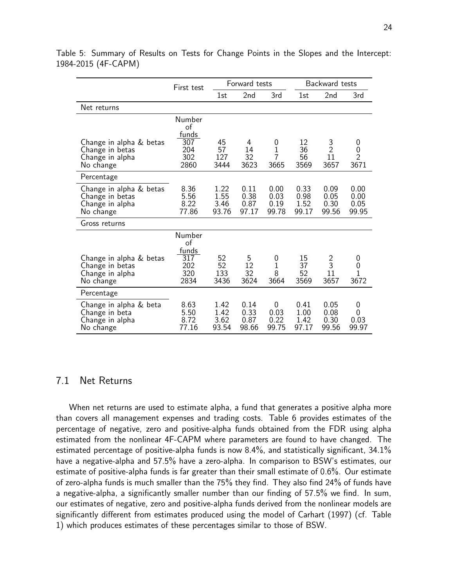|                                                                            | First test                                         |                               | Forward tests                 |                                            |                               | Backward tests                |                                  |  |  |
|----------------------------------------------------------------------------|----------------------------------------------------|-------------------------------|-------------------------------|--------------------------------------------|-------------------------------|-------------------------------|----------------------------------|--|--|
|                                                                            |                                                    | 1st                           | 2nd                           | 3rd                                        | 1st                           | 2nd                           | 3rd                              |  |  |
| Net returns                                                                |                                                    |                               |                               |                                            |                               |                               |                                  |  |  |
| Change in alpha & betas<br>Change in betas<br>Change in alpha<br>No change | Number<br>of<br>funds<br>307<br>204<br>302<br>2860 | 45<br>57<br>127<br>3444       | 4<br>14<br>32<br>3623         | 0<br>$\mathbf 1$<br>$\overline{7}$<br>3665 | 12<br>36<br>56<br>3569        | $\frac{3}{2}$<br>11<br>3657   | 0<br>0<br>$\overline{2}$<br>3671 |  |  |
| Percentage                                                                 |                                                    |                               |                               |                                            |                               |                               |                                  |  |  |
| Change in alpha & betas<br>Change in betas<br>Change in alpha<br>No change | 8.36<br>5.56<br>8.22<br>77.86                      | 1.22<br>1.55<br>3.46<br>93.76 | 0.11<br>0.38<br>0.87<br>97.17 | 0.00<br>0.03<br>0.19<br>99.78              | 0.33<br>0.98<br>1.52<br>99.17 | 0.09<br>0.05<br>0.30<br>99.56 | 0.00<br>0.00<br>0.05<br>99.95    |  |  |
| Gross returns                                                              |                                                    |                               |                               |                                            |                               |                               |                                  |  |  |
| Change in alpha & betas<br>Change in betas<br>Change in alpha<br>No change | Number<br>of<br>funds<br>317<br>202<br>320<br>2834 | 52<br>52<br>133<br>3436       | 5<br>12<br>32<br>3624         | 0<br>1<br>8<br>3664                        | 15<br>37<br>52<br>3569        | $\frac{2}{3}$<br>11<br>3657   | 0<br>0<br>$\overline{1}$<br>3672 |  |  |
| Percentage                                                                 |                                                    |                               |                               |                                            |                               |                               |                                  |  |  |
| Change in alpha & beta<br>Change in beta<br>Change in alpha<br>No change   | 8.63<br>5.50<br>8.72<br>77.16                      | 1.42<br>1.42<br>3.62<br>93.54 | 0.14<br>0.33<br>0.87<br>98.66 | 0<br>0.03<br>0.22<br>99.75                 | 0.41<br>1.00<br>1.42<br>97.17 | 0.05<br>0.08<br>0.30<br>99.56 | 0<br>0<br>0.03<br>99.97          |  |  |

Table 5: Summary of Results on Tests for Change Points in the Slopes and the Intercept: 1984-2015 (4F-CAPM)

### 7.1 Net Returns

When net returns are used to estimate alpha, a fund that generates a positive alpha more than covers all management expenses and trading costs. Table 6 provides estimates of the percentage of negative, zero and positive-alpha funds obtained from the FDR using alpha estimated from the nonlinear 4F-CAPM where parameters are found to have changed. The estimated percentage of positive-alpha funds is now 8.4%, and statistically significant, 34.1% have a negative-alpha and 57.5% have a zero-alpha. In comparison to BSW's estimates, our estimate of positive-alpha funds is far greater than their small estimate of 0.6%. Our estimate of zero-alpha funds is much smaller than the 75% they find. They also find 24% of funds have a negative-alpha, a significantly smaller number than our finding of 57.5% we find. In sum, our estimates of negative, zero and positive-alpha funds derived from the nonlinear models are significantly different from estimates produced using the model of Carhart (1997) (cf. Table 1) which produces estimates of these percentages similar to those of BSW.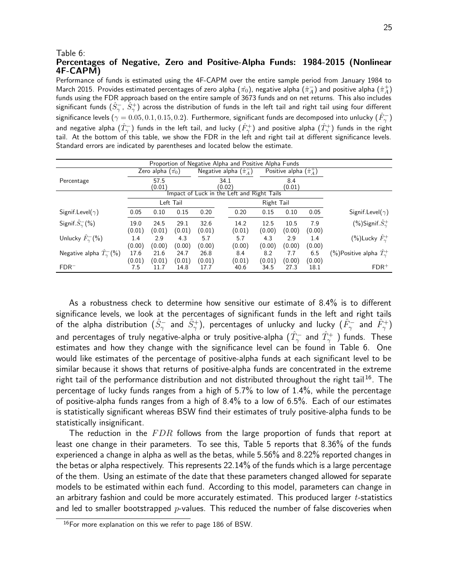#### Table 6:

#### Percentages of Negative, Zero and Positive-Alpha Funds: 1984-2015 (Nonlinear 4F-CAPM)

Performance of funds is estimated using the 4F-CAPM over the entire sample period from January 1984 to March 2015. Provides estimated percentages of zero alpha  $(\hat{\pi_0})$ , negative alpha  $(\hat{\pi}^-_A)$  and positive alpha  $(\hat{\pi}^+_A)$ funds using the FDR approach based on the entire sample of 3673 funds and on net returns. This also includes significant funds  $(\hat S^-_\gamma,\,\hat S^+_\gamma)$  across the distribution of funds in the left tail and right tail using four different significance levels ( $\gamma=0.05,0.1,0.15,0.2$ ). Furthermore, significant funds are decomposed into unlucky ( $\hat{F}_{\gamma}^{-}$ ) and negative alpha  $(\hat T_\gamma^-)$  funds in the left tail, and lucky  $(\hat F_\gamma^+)$  and positive alpha  $(\hat T_\gamma^+)$  funds in the right tail. At the bottom of this table, we show the FDR in the left and right tail at different significance levels. Standard errors are indicated by parentheses and located below the estimate.

| Proportion of Negative Alpha and Positive Alpha Funds |                |                            |           |        |                                  |                                            |            |                                  |        |                                     |  |
|-------------------------------------------------------|----------------|----------------------------|-----------|--------|----------------------------------|--------------------------------------------|------------|----------------------------------|--------|-------------------------------------|--|
|                                                       |                | Zero alpha $(\hat{\pi_0})$ |           |        | Negative alpha $(\hat{\pi}_A^-)$ |                                            |            | Positive alpha $(\hat{\pi}_A^+)$ |        |                                     |  |
| Percentage                                            | 57.5<br>(0.01) |                            |           |        | 34.1<br>8.4<br>(0.02)<br>(0.01)  |                                            |            |                                  |        |                                     |  |
|                                                       |                |                            |           |        |                                  | Impact of Luck in the Left and Right Tails |            |                                  |        |                                     |  |
|                                                       |                |                            | Left Tail |        |                                  |                                            | Right Tail |                                  |        |                                     |  |
| Signif.Level( $\gamma$ )                              | 0.05           | 0.10                       | 0.15      | 0.20   |                                  | 0.20                                       | 0.15       | 0.10                             | 0.05   | Signif.Level( $\gamma$ )            |  |
| Signif. $\hat{S}_{\gamma}^{-}(\% )$                   | 19.0           | 24.5                       | 29.1      | 32.6   |                                  | 14.2                                       | 12.5       | 10.5                             | 7.9    | (%)Signif. $\hat{S}_{\gamma}^{+}$   |  |
|                                                       | (0.01)         | (0.01)                     | (0.01)    | (0.01) |                                  | (0.01)                                     | (0.00)     | (0.00)                           | (0.00) |                                     |  |
| Unlucky $\hat{F}_{\gamma}^{-}(\% )$                   | 1.4            | 2.9                        | 4.3       | 5.7    |                                  | 5.7                                        | 4.3        | 2.9                              | 1.4    | $(\%)$ Lucky $\hat{F}_{\gamma}^{+}$ |  |
|                                                       | (0.00)         | (0.00)                     | (0.00)    | (0.00) |                                  | (0.00)                                     | (0.00)     | (0.00)                           | (0.00) |                                     |  |
| Negative alpha $\hat{T}_{\gamma}^{-}(\%)$             | 17.6           | 21.6                       | 24.7      | 26.8   |                                  | 8.4                                        | 8.2        | 7.7                              | 6.5    | (%)Positive alpha $\hat T_\sim^+$   |  |
|                                                       | (0.01)         | (0.01)                     | (0.01)    | (0.01) |                                  | (0.01)                                     | (0.01)     | (0.00)                           | (0.00) |                                     |  |
| $FDR^{-}$                                             | 7.5            | 11.7                       | 14.8      | 17.7   |                                  | 40.6                                       | 34.5       | 27.3                             | 18.1   | $FDR$ <sup>+</sup>                  |  |

As a robustness check to determine how sensitive our estimate of 8.4% is to different significance levels, we look at the percentages of significant funds in the left and right tails of the alpha distribution  $(\hat{S}^-_\gamma$  and  $\hat{S}^+_\gamma)$ , percentages of unlucky and lucky  $(\hat{F}^-_\gamma$  and  $\hat{F}^+_\gamma)$ and percentages of truly negative-alpha or truly positive-alpha  $(\hat{T}_{\gamma}^-$  and  $\hat{T}_{\gamma}^+$  ) funds. These estimates and how they change with the significance level can be found in Table 6. One would like estimates of the percentage of positive-alpha funds at each significant level to be similar because it shows that returns of positive-alpha funds are concentrated in the extreme right tail of the performance distribution and not distributed throughout the right tail<sup>16</sup>. The percentage of lucky funds ranges from a high of 5.7% to low of 1.4%, while the percentage of positive-alpha funds ranges from a high of 8.4% to a low of 6.5%. Each of our estimates is statistically significant whereas BSW find their estimates of truly positive-alpha funds to be statistically insignificant.

The reduction in the  $FDR$  follows from the large proportion of funds that report at least one change in their parameters. To see this, Table 5 reports that 8.36% of the funds experienced a change in alpha as well as the betas, while 5.56% and 8.22% reported changes in the betas or alpha respectively. This represents 22.14% of the funds which is a large percentage of the them. Using an estimate of the date that these parameters changed allowed for separate models to be estimated within each fund. According to this model, parameters can change in an arbitrary fashion and could be more accurately estimated. This produced larger  $t$ -statistics and led to smaller bootstrapped  $p$ -values. This reduced the number of false discoveries when

<sup>&</sup>lt;sup>16</sup>For more explanation on this we refer to page 186 of BSW.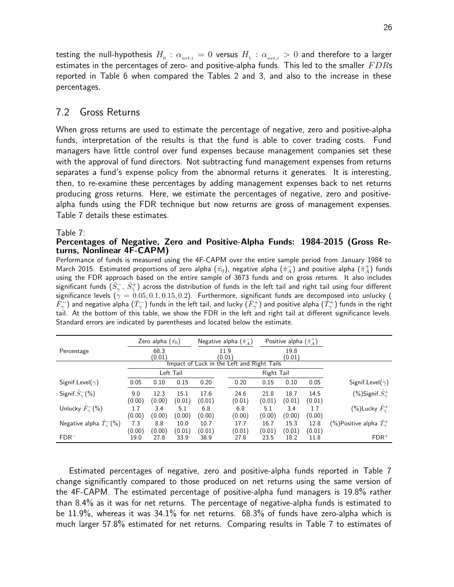testing the null-hypothesis  $H_0 : \alpha_{net,i} = 0$  versus  $H_1 : \alpha_{net,i} > 0$  and therefore to a larger estimates in the percentages of zero- and positive-alpha funds. This led to the smaller  $FDRs$ reported in Table 6 when compared the Tables 2 and 3, and also to the increase in these percentages.

#### 7.2 Gross Returns

When gross returns are used to estimate the percentage of negative, zero and positive-alpha funds, interpretation of the results is that the fund is able to cover trading costs. Fund managers have little control over fund expenses because management companies set these with the approval of fund directors. Not subtracting fund management expenses from returns separates a fund's expense policy from the abnormal returns it generates. It is interesting, then, to re-examine these percentages by adding management expenses back to net returns producing gross returns. Here, we estimate the percentages of negative, zero and positivealpha funds using the FDR technique but now returns are gross of management expenses. Table 7 details these estimates.

Table 7:

#### Percentages of Negative, Zero and Positive-Alpha Funds: 1984-2015 (Gross Returns, Nonlinear 4F-CAPM)

Performance of funds is measured using the 4F-CAPM over the entire sample period from January 1984 to March 2015. Estimated proportions of zero alpha  $(\hat{\pi_0})$ , negative alpha  $(\hat{\pi}^-_A)$  and positive alpha  $(\hat{\pi}^+_A)$  funds using the FDR approach based on the entire sample of 3673 funds and on gross returns. It also includes significant funds  $(\hat S^-_\gamma,\ \hat S^+_\gamma)$  across the distribution of funds in the left tail and right tail using four different significance levels ( $\gamma = 0.05, 0.1, 0.15, 0.2$ ). Furthermore, significant funds are decomposed into unlucky (  $\hat{F}^-_\gamma$ ) and negative alpha  $(\hat{T}^-_\gamma)$  funds in the left tail, and lucky  $(\hat{F}^+_\gamma)$  and positive alpha  $(\hat{T}^+_\gamma)$  funds in the right tail. At the bottom of this table, we show the FDR in the left and right tail at different significance levels. Standard errors are indicated by parentheses and located below the estimate.

|                                           |                | Zero alpha $(\hat{\pi_0})$ |                |        |  | Negative alpha $(\hat{\pi}_A^-)$ |                                            | Positive alpha $(\hat{\pi}_A^+)$ |        |                                          |
|-------------------------------------------|----------------|----------------------------|----------------|--------|--|----------------------------------|--------------------------------------------|----------------------------------|--------|------------------------------------------|
| Percentage                                | 68.3<br>(0.01) |                            | 11.9<br>(0.01) |        |  | 19.8<br>(0.01)                   |                                            |                                  |        |                                          |
|                                           |                |                            |                |        |  |                                  | Impact of Luck in the Left and Right Tails |                                  |        |                                          |
|                                           | Left Tail      |                            |                |        |  |                                  | Right Tail                                 |                                  |        |                                          |
| Signif.Level( $\gamma$ )                  | 0.05           | 0.10                       | 0.15           | 0.20   |  | 0.20                             | 0.15                                       | 0.10                             | 0.05   | Signif.Level( $\gamma$ )                 |
| Signif. $\hat{S}_{\gamma}^{-}(\% )$       | 9.0            | 12.3                       | 15.1           | 17.6   |  | 24.6                             | 21.8                                       | 18.7                             | 14.5   | (%)Signif. $S^+_{\gamma}$                |
|                                           | (0.00)         | (0.00)                     | (0.01)         | (0.01) |  | (0.01)                           | (0.01)                                     | (0.01)                           | (0.01) |                                          |
| Unlucky $\hat{F}_{\gamma}^{-}(\% )$       | 1.7            | 3.4                        | 5.1            | 6.8    |  | 6.8                              | 5.1                                        | 3.4                              | 1.7    | (%)Lucky $\hat{F}_{\gamma}^{+}$          |
|                                           | (0.00)         | (0.00)                     | (0.00)         | (0.00) |  | (0.00)                           | (0.00)                                     | (0.00)                           | (0.00) |                                          |
| Negative alpha $\hat{T}_{\gamma}^{-}(\%)$ | 7.3            | 8.8                        | 10.0           | 10.7   |  | 17.7                             | 16.7                                       | 15.3                             | 12.8   | (%)Positive alpha $\hat{T}_{\gamma}^{+}$ |
|                                           | (0.00)         | (0.00)                     | (0.01)         | (0.01) |  | (0.01)                           | (0.01)                                     | (0.01)                           | (0.01) |                                          |
| $FDR^{-}$                                 | 19.0           | 27.8                       | 33.9           | 38.9   |  | 27.8                             | 23.5                                       | 18.2                             | 11.8   | $FDR$ <sup>+</sup>                       |

Estimated percentages of negative, zero and positive-alpha funds reported in Table 7 change significantly compared to those produced on net returns using the same version of the 4F-CAPM. The estimated percentage of positive-alpha fund managers is 19.8% rather than 8.4% as it was for net returns. The percentage of negative-alpha funds is estimated to be 11.9%, whereas it was 34.1% for net returns. 68.3% of funds have zero-alpha which is much larger 57.8% estimated for net returns. Comparing results in Table 7 to estimates of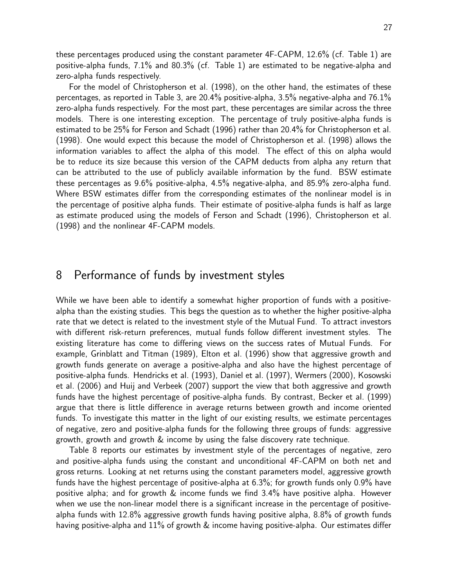these percentages produced using the constant parameter 4F-CAPM, 12.6% (cf. Table 1) are positive-alpha funds, 7.1% and 80.3% (cf. Table 1) are estimated to be negative-alpha and zero-alpha funds respectively.

For the model of Christopherson et al. (1998), on the other hand, the estimates of these percentages, as reported in Table 3, are 20.4% positive-alpha, 3.5% negative-alpha and 76.1% zero-alpha funds respectively. For the most part, these percentages are similar across the three models. There is one interesting exception. The percentage of truly positive-alpha funds is estimated to be 25% for Ferson and Schadt (1996) rather than 20.4% for Christopherson et al. (1998). One would expect this because the model of Christopherson et al. (1998) allows the information variables to affect the alpha of this model. The effect of this on alpha would be to reduce its size because this version of the CAPM deducts from alpha any return that can be attributed to the use of publicly available information by the fund. BSW estimate these percentages as 9.6% positive-alpha, 4.5% negative-alpha, and 85.9% zero-alpha fund. Where BSW estimates differ from the corresponding estimates of the nonlinear model is in the percentage of positive alpha funds. Their estimate of positive-alpha funds is half as large as estimate produced using the models of Ferson and Schadt (1996), Christopherson et al. (1998) and the nonlinear 4F-CAPM models.

## 8 Performance of funds by investment styles

While we have been able to identify a somewhat higher proportion of funds with a positivealpha than the existing studies. This begs the question as to whether the higher positive-alpha rate that we detect is related to the investment style of the Mutual Fund. To attract investors with different risk-return preferences, mutual funds follow different investment styles. The existing literature has come to differing views on the success rates of Mutual Funds. For example, Grinblatt and Titman (1989), Elton et al. (1996) show that aggressive growth and growth funds generate on average a positive-alpha and also have the highest percentage of positive-alpha funds. Hendricks et al. (1993), Daniel et al. (1997), Wermers (2000), Kosowski et al. (2006) and Huij and Verbeek (2007) support the view that both aggressive and growth funds have the highest percentage of positive-alpha funds. By contrast, Becker et al. (1999) argue that there is little difference in average returns between growth and income oriented funds. To investigate this matter in the light of our existing results, we estimate percentages of negative, zero and positive-alpha funds for the following three groups of funds: aggressive growth, growth and growth & income by using the false discovery rate technique.

Table 8 reports our estimates by investment style of the percentages of negative, zero and positive-alpha funds using the constant and unconditional 4F-CAPM on both net and gross returns. Looking at net returns using the constant parameters model, aggressive growth funds have the highest percentage of positive-alpha at 6.3%; for growth funds only 0.9% have positive alpha; and for growth & income funds we find 3.4% have positive alpha. However when we use the non-linear model there is a significant increase in the percentage of positivealpha funds with 12.8% aggressive growth funds having positive alpha, 8.8% of growth funds having positive-alpha and 11% of growth & income having positive-alpha. Our estimates differ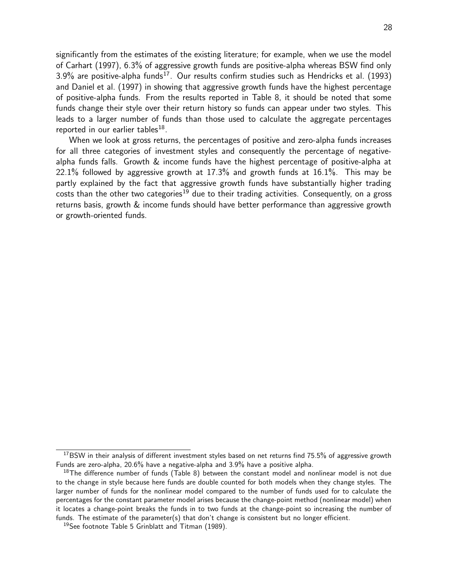significantly from the estimates of the existing literature; for example, when we use the model of Carhart (1997), 6.3% of aggressive growth funds are positive-alpha whereas BSW find only  $3.9\%$  are positive-alpha funds<sup>17</sup>. Our results confirm studies such as Hendricks et al. (1993) and Daniel et al. (1997) in showing that aggressive growth funds have the highest percentage of positive-alpha funds. From the results reported in Table 8, it should be noted that some funds change their style over their return history so funds can appear under two styles. This leads to a larger number of funds than those used to calculate the aggregate percentages reported in our earlier tables $^{18}$ .

When we look at gross returns, the percentages of positive and zero-alpha funds increases for all three categories of investment styles and consequently the percentage of negativealpha funds falls. Growth & income funds have the highest percentage of positive-alpha at 22.1% followed by aggressive growth at 17.3% and growth funds at 16.1%. This may be partly explained by the fact that aggressive growth funds have substantially higher trading costs than the other two categories<sup>19</sup> due to their trading activities. Consequently, on a gross returns basis, growth & income funds should have better performance than aggressive growth or growth-oriented funds.

<sup>&</sup>lt;sup>17</sup>BSW in their analysis of different investment styles based on net returns find 75.5% of aggressive growth Funds are zero-alpha, 20.6% have a negative-alpha and 3.9% have a positive alpha.

 $18$ The difference number of funds (Table 8) between the constant model and nonlinear model is not due to the change in style because here funds are double counted for both models when they change styles. The larger number of funds for the nonlinear model compared to the number of funds used for to calculate the percentages for the constant parameter model arises because the change-point method (nonlinear model) when it locates a change-point breaks the funds in to two funds at the change-point so increasing the number of funds. The estimate of the parameter(s) that don't change is consistent but no longer efficient.

<sup>&</sup>lt;sup>19</sup>See footnote Table 5 Grinblatt and Titman (1989).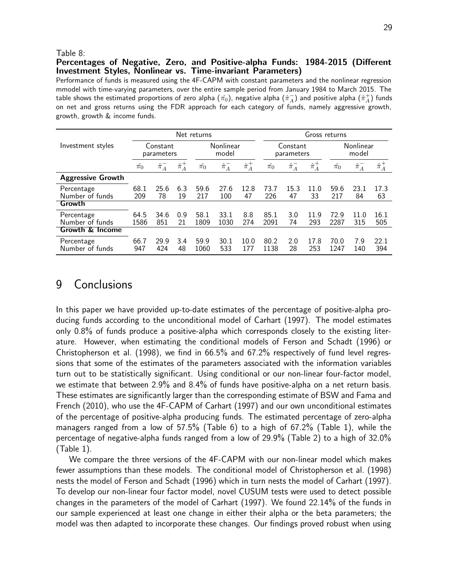#### Table 8:

#### Percentages of Negative, Zero, and Positive-alpha Funds: 1984-2015 (Different Investment Styles, Nonlinear vs. Time-invariant Parameters)

Performance of funds is measured using the 4F-CAPM with constant parameters and the nonlinear regression mmodel with time-varying parameters, over the entire sample period from January 1984 to March 2015. The table shows the estimated proportions of zero alpha  $(\hat{\pi_0})$ , negative alpha  $(\hat{\pi}^-_A)$  and positive alpha  $(\hat{\pi}^+_A)$  funds on net and gross returns using the FDR approach for each category of funds, namely aggressive growth, growth, growth & income funds.

|                               |                        |                 |                 | Net returns                    |                    |                 | Gross returns                  |                        |                 |                                |                    |                 |  |
|-------------------------------|------------------------|-----------------|-----------------|--------------------------------|--------------------|-----------------|--------------------------------|------------------------|-----------------|--------------------------------|--------------------|-----------------|--|
| Investment styles             | Constant<br>parameters |                 |                 |                                | Nonlinear<br>model |                 |                                | Constant<br>parameters |                 |                                | Nonlinear<br>model |                 |  |
|                               | $\hat{\pi_0}$          | $\hat{\pi}_A^-$ | $\hat{\pi}_A^+$ | $\hat{\phantom{a}}$<br>$\pi_0$ | $\hat{\pi}_A^-$    | $\hat{\pi}_A^+$ | $\hat{\phantom{a}}$<br>$\pi_0$ | $\hat{\pi}_A^-$        | $\hat{\pi}_A^+$ | $\hat{\phantom{a}}$<br>$\pi_0$ | $\hat{\pi}_A^-$    | $\hat{\pi}_A^+$ |  |
| <b>Aggressive Growth</b>      |                        |                 |                 |                                |                    |                 |                                |                        |                 |                                |                    |                 |  |
| Percentage<br>Number of funds | 68.1<br>209            | 25.6<br>78      | 6.3<br>19       | 59.6<br>217                    | 27.6<br>100        | 12.8<br>47      | 73.7<br>226                    | 15.3<br>47             | 11.0<br>33      | 59.6<br>217                    | 23.1<br>84         | 17.3<br>63      |  |
| Growth                        |                        |                 |                 |                                |                    |                 |                                |                        |                 |                                |                    |                 |  |
| Percentage<br>Number of funds | 64.5<br>1586           | 34.6<br>851     | 0.9<br>21       | 58.1<br>1809                   | 33.1<br>1030       | 8.8<br>274      | 85.1<br>2091                   | 3.0<br>74              | 11.9<br>293     | 72.9<br>2287                   | 11.0<br>315        | 16.1<br>505     |  |
| <b>Growth &amp; Income</b>    |                        |                 |                 |                                |                    |                 |                                |                        |                 |                                |                    |                 |  |
| Percentage<br>Number of funds | 66.7<br>947            | 29.9<br>424     | 3.4<br>48       | 59.9<br>1060                   | 30.1<br>533        | 10.0<br>177     | 80.2<br>1138                   | 2.0<br>28              | 17.8<br>253     | 70.0<br>1247                   | 7.9<br>140         | 22.1<br>394     |  |

## 9 Conclusions

In this paper we have provided up-to-date estimates of the percentage of positive-alpha producing funds according to the unconditional model of Carhart (1997). The model estimates only 0.8% of funds produce a positive-alpha which corresponds closely to the existing literature. However, when estimating the conditional models of Ferson and Schadt (1996) or Christopherson et al. (1998), we find in 66.5% and 67.2% respectively of fund level regressions that some of the estimates of the parameters associated with the information variables turn out to be statistically significant. Using conditional or our non-linear four-factor model, we estimate that between 2.9% and 8.4% of funds have positive-alpha on a net return basis. These estimates are significantly larger than the corresponding estimate of BSW and Fama and French (2010), who use the 4F-CAPM of Carhart (1997) and our own unconditional estimates of the percentage of positive-alpha producing funds. The estimated percentage of zero-alpha managers ranged from a low of 57.5% (Table 6) to a high of 67.2% (Table 1), while the percentage of negative-alpha funds ranged from a low of 29.9% (Table 2) to a high of 32.0% (Table 1).

We compare the three versions of the 4F-CAPM with our non-linear model which makes fewer assumptions than these models. The conditional model of Christopherson et al. (1998) nests the model of Ferson and Schadt (1996) which in turn nests the model of Carhart (1997). To develop our non-linear four factor model, novel CUSUM tests were used to detect possible changes in the parameters of the model of Carhart (1997). We found 22.14% of the funds in our sample experienced at least one change in either their alpha or the beta parameters; the model was then adapted to incorporate these changes. Our findings proved robust when using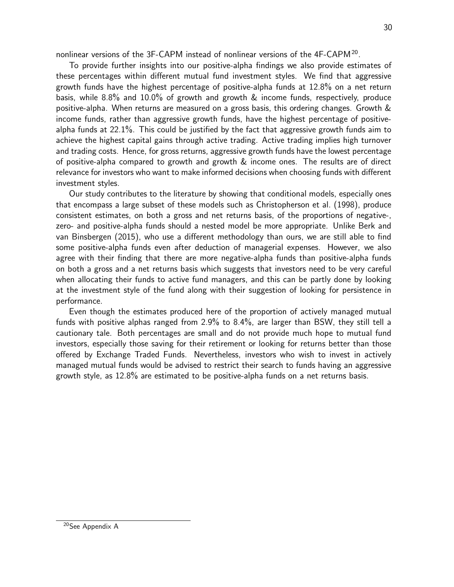nonlinear versions of the 3F-CAPM instead of nonlinear versions of the  $4F-CAPM^{20}$ .

To provide further insights into our positive-alpha findings we also provide estimates of these percentages within different mutual fund investment styles. We find that aggressive growth funds have the highest percentage of positive-alpha funds at 12.8% on a net return basis, while 8.8% and 10.0% of growth and growth & income funds, respectively, produce positive-alpha. When returns are measured on a gross basis, this ordering changes. Growth & income funds, rather than aggressive growth funds, have the highest percentage of positivealpha funds at 22.1%. This could be justified by the fact that aggressive growth funds aim to achieve the highest capital gains through active trading. Active trading implies high turnover and trading costs. Hence, for gross returns, aggressive growth funds have the lowest percentage of positive-alpha compared to growth and growth & income ones. The results are of direct relevance for investors who want to make informed decisions when choosing funds with different investment styles.

Our study contributes to the literature by showing that conditional models, especially ones that encompass a large subset of these models such as Christopherson et al. (1998), produce consistent estimates, on both a gross and net returns basis, of the proportions of negative-, zero- and positive-alpha funds should a nested model be more appropriate. Unlike Berk and van Binsbergen (2015), who use a different methodology than ours, we are still able to find some positive-alpha funds even after deduction of managerial expenses. However, we also agree with their finding that there are more negative-alpha funds than positive-alpha funds on both a gross and a net returns basis which suggests that investors need to be very careful when allocating their funds to active fund managers, and this can be partly done by looking at the investment style of the fund along with their suggestion of looking for persistence in performance.

Even though the estimates produced here of the proportion of actively managed mutual funds with positive alphas ranged from 2.9% to 8.4%, are larger than BSW, they still tell a cautionary tale. Both percentages are small and do not provide much hope to mutual fund investors, especially those saving for their retirement or looking for returns better than those offered by Exchange Traded Funds. Nevertheless, investors who wish to invest in actively managed mutual funds would be advised to restrict their search to funds having an aggressive growth style, as 12.8% are estimated to be positive-alpha funds on a net returns basis.

<sup>20</sup>See Appendix A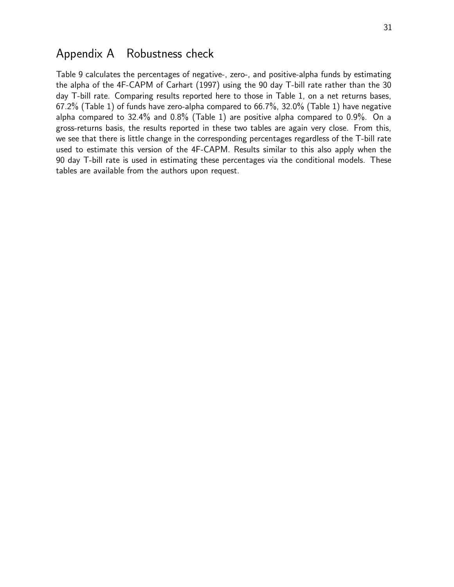## Appendix A Robustness check

Table 9 calculates the percentages of negative-, zero-, and positive-alpha funds by estimating the alpha of the 4F-CAPM of Carhart (1997) using the 90 day T-bill rate rather than the 30 day T-bill rate. Comparing results reported here to those in Table 1, on a net returns bases, 67.2% (Table 1) of funds have zero-alpha compared to 66.7%, 32.0% (Table 1) have negative alpha compared to 32.4% and 0.8% (Table 1) are positive alpha compared to 0.9%. On a gross-returns basis, the results reported in these two tables are again very close. From this, we see that there is little change in the corresponding percentages regardless of the T-bill rate used to estimate this version of the 4F-CAPM. Results similar to this also apply when the 90 day T-bill rate is used in estimating these percentages via the conditional models. These tables are available from the authors upon request.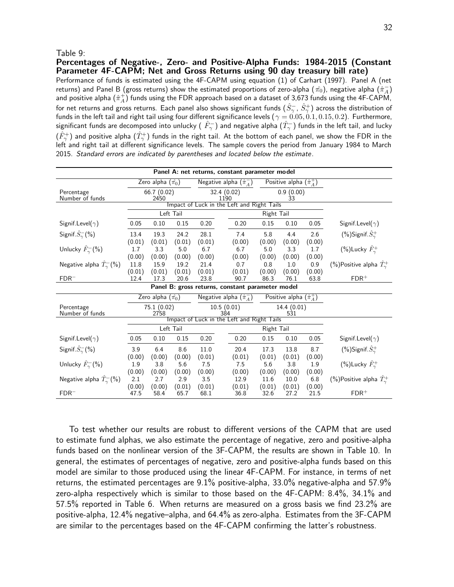#### Table 9:

Percentages of Negative-, Zero- and Positive-Alpha Funds: 1984-2015 (Constant Parameter 4F-CAPM; Net and Gross Returns using 90 day treasury bill rate)

Performance of funds is estimated using the 4F-CAPM using equation (1) of Carhart (1997). Panel A (net returns) and Panel B (gross returns) show the estimated proportions of zero-alpha ( $\hat{\pi_0}$ ), negative alpha ( $\hat{\pi}_A^-$ ) and positive alpha  $(\hat{\pi}_A^+)$  funds using the FDR approach based on a dataset of 3,673 funds using the 4F-CAPM, for net returns and gross returns. Each panel also shows significant funds  $(\hat S^-_\gamma,\,\hat S^+_\gamma)$  across the distribution of funds in the left tail and right tail using four different significance levels ( $\gamma = 0.05, 0.1, 0.15, 0.2$ ). Furthermore, significant funds are decomposed into unlucky (  $\hat F_\gamma^-$ ) and negative alpha  $(\hat T_\gamma^-)$  funds in the left tail, and lucky  $(\hat{F}_\gamma^+)$  and positive alpha  $(\hat{T}_\gamma^+)$  funds in the right tail. At the bottom of each panel, we show the FDR in the left and right tail at different significance levels. The sample covers the period from January 1984 to March 2015. Standard errors are indicated by parentheses and located below the estimate.

| Panel A: net returns, constant parameter model   |                    |                            |               |               |                     |                                            |               |                                  |               |                                          |  |  |
|--------------------------------------------------|--------------------|----------------------------|---------------|---------------|---------------------|--------------------------------------------|---------------|----------------------------------|---------------|------------------------------------------|--|--|
|                                                  |                    | Zero alpha $(\hat{\pi_0})$ |               |               |                     | Negative alpha $(\hat{\pi}_A^-)$           |               | Positive alpha $(\hat{\pi}_A^+)$ |               |                                          |  |  |
| Percentage<br>Number of funds                    | 66.7(0.02)<br>2450 |                            |               |               | 32.4 (0.02)<br>1190 |                                            |               | $0.9(0.00)$<br>33                |               |                                          |  |  |
|                                                  |                    |                            |               |               |                     | Impact of Luck in the Left and Right Tails |               |                                  |               |                                          |  |  |
|                                                  | Left Tail          |                            |               |               |                     |                                            | Right Tail    |                                  |               |                                          |  |  |
| Signif.Level( $\gamma$ )                         | 0.05               | 0.10                       | 0.15          | 0.20          |                     | 0.20                                       | 0.15          | 0.10                             | 0.05          | Signif. Level( $\gamma$ )                |  |  |
| Signif. $\hat{S}_{\gamma}^{-}(\% )$              | 13.4               | 19.3                       | 24.2          | 28.1          |                     | 7.4                                        | 5.8           | 4.4                              | 2.6           | (%)Signif. $S^+_{\gamma}$                |  |  |
|                                                  | (0.01)             | (0.01)                     | (0.01)        | (0.01)        |                     | (0.00)                                     | (0.00)        | (0.00)                           | (0.00)        |                                          |  |  |
| Unlucky $\hat{F}_{\gamma}^{-}(\% )$              | 1.7<br>(0.00)      | 3.3<br>(0.00)              | 5.0<br>(0.00) | 6.7<br>(0.00) |                     | 6.7<br>(0.00)                              | 5.0<br>(0.00) | 3.3<br>(0.00)                    | 1.7<br>(0.00) | $(\%)$ Lucky $\hat{F}_{\gamma}^{+}$      |  |  |
| Negative alpha $\hat{T}_{\gamma}^{-}(\%)$        | 11.8               | 15.9                       | 19.2          | 21.4          |                     | 0.7                                        | 0.8           | 1.0                              | 0.9           | (%)Positive alpha $\hat{T}_{\gamma}^{+}$ |  |  |
|                                                  | (0.01)             | (0.01)                     | (0.01)        | (0.01)        |                     | (0.01)                                     | (0.00)        | (0.00)                           | (0.00)        |                                          |  |  |
| $FDR^-$                                          | 12.4               | 17.3                       | 20.6          | 23.8          |                     | 90.7                                       | 86.3          | 76.1                             | 63.8          | $FDR$ <sup>+</sup>                       |  |  |
| Panel B: gross returns, constant parameter model |                    |                            |               |               |                     |                                            |               |                                  |               |                                          |  |  |
|                                                  |                    | Zero alpha $(\hat{\pi_0})$ |               |               |                     | Negative alpha $(\hat{\pi}_A^-)$           |               | Positive alpha $(\hat{\pi}_A^+)$ |               |                                          |  |  |
| Percentage<br>Number of funds                    |                    | 75.1 (0.02)<br>2758        |               |               | 10.5(0.01)<br>384   |                                            |               | 14.4(0.01)<br>531                |               |                                          |  |  |
|                                                  |                    |                            |               |               |                     | Impact of Luck in the Left and Right Tails |               |                                  |               |                                          |  |  |
|                                                  |                    |                            | Left Tail     |               |                     |                                            | Right Tail    |                                  |               |                                          |  |  |
| Signif.Level( $\gamma$ )                         | 0.05               | 0.10                       | 0.15          | 0.20          |                     | 0.20                                       | 0.15          | 0.10                             | 0.05          | Signif. Level( $\gamma$ )                |  |  |
| Signif. $\hat{S}_{\gamma}^{-}(\% )$              | 3.9                | 6.4                        | 8.6           | 11.0          |                     | 20.4                                       | 17.3          | 13.8                             | 8.7           | $(\%)$ Signif. $S^+_\gamma$              |  |  |
|                                                  | (0.00)             | (0.00)                     | (0.00)        | (0.01)        |                     | (0.01)                                     | (0.01)        | (0.01)                           | (0.00)        |                                          |  |  |
| Unlucky $\hat{F}_{\gamma}^{-}(\% )$              | 1.9<br>(0.00)      | 3.8<br>(0.00)              | 5.6<br>(0.00) | 7.5<br>(0.00) |                     | 7.5<br>(0.00)                              | 5.6<br>(0.00) | 3.8<br>(0.00)                    | 1.9<br>(0.00) | $(\%)$ Lucky $\hat{F}_{\gamma}^{+}$      |  |  |
| Negative alpha $\hat{T}_{\gamma}^{-}(\%)$        | 2.1                | 2.7                        | 2.9           | 3.5           |                     | 12.9                                       | 11.6          | 10.0                             | 6.8           | (%)Positive alpha $\hat{T}_{\gamma}^{+}$ |  |  |
|                                                  | (0.00)             | (0.00)                     | (0.01)        | (0.01)        |                     | (0.01)                                     | (0.01)        | (0.01)                           | (0.00)        |                                          |  |  |
| $FDR^-$                                          | 47.5               | 58.4                       | 65.7          | 68.1          |                     | 36.8                                       | 32.6          | 27.2                             | 21.5          | $FDR$ <sup>+</sup>                       |  |  |

To test whether our results are robust to different versions of the CAPM that are used to estimate fund alphas, we also estimate the percentage of negative, zero and positive-alpha funds based on the nonlinear version of the 3F-CAPM, the results are shown in Table 10. In general, the estimates of percentages of negative, zero and positive-alpha funds based on this model are similar to those produced using the linear 4F-CAPM. For instance, in terms of net returns, the estimated percentages are 9.1% positive-alpha, 33.0% negative-alpha and 57.9% zero-alpha respectively which is similar to those based on the 4F-CAPM: 8.4%, 34.1% and 57.5% reported in Table 6. When returns are measured on a gross basis we find 23.2% are positive-alpha, 12.4% negative–alpha, and 64.4% as zero-alpha. Estimates from the 3F-CAPM are similar to the percentages based on the 4F-CAPM confirming the latter's robustness.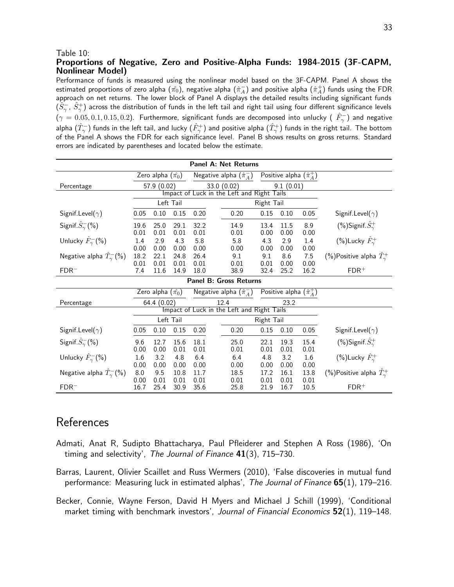#### Table 10:

#### Proportions of Negative, Zero and Positive-Alpha Funds: 1984-2015 (3F-CAPM, Nonlinear Model)

Performance of funds is measured using the nonlinear model based on the 3F-CAPM. Panel A shows the estimated proportions of zero alpha  $(\hat{\pi_0})$ , negative alpha  $(\hat{\pi}^-_A)$  and positive alpha  $(\hat{\pi}^+_A)$  funds using the FDR approach on net returns. The lower block of Panel A displays the detailed results including significant funds  $(\hat S^-_\gamma,\ \hat S^+_\gamma)$  across the distribution of funds in the left tail and right tail using four different significance levels  $(\gamma=0.05,0.1,0.15,0.2)$ . Furthermore, significant funds are decomposed into unlucky (  $\hat{F}_\gamma^-$ ) and negative alpha  $(\hat{T}_\gamma^-)$  funds in the left tail, and lucky  $(\hat{F}_\gamma^+)$  and positive alpha  $(\hat{T}_\gamma^+)$  funds in the right tail. The bottom of the Panel A shows the FDR for each significance level. Panel B shows results on gross returns. Standard errors are indicated by parentheses and located below the estimate.

| <b>Panel A: Net Returns</b>               |                     |                            |                     |                     |                                                           |                     |                                  |                     |                                          |  |  |  |
|-------------------------------------------|---------------------|----------------------------|---------------------|---------------------|-----------------------------------------------------------|---------------------|----------------------------------|---------------------|------------------------------------------|--|--|--|
|                                           |                     | Zero alpha $(\hat{\pi_0})$ |                     |                     | Negative alpha $(\hat{\pi}_A^-)$                          |                     | Positive alpha $(\hat{\pi}_A^+)$ |                     |                                          |  |  |  |
| Percentage                                |                     | 57.9 (0.02)                |                     |                     | 33.0 (0.02)<br>Impact of Luck in the Left and Right Tails |                     | 9.1(0.01)                        |                     |                                          |  |  |  |
|                                           |                     |                            |                     |                     |                                                           |                     |                                  |                     |                                          |  |  |  |
|                                           |                     | Left Tail                  |                     |                     |                                                           | Right Tail          |                                  |                     |                                          |  |  |  |
| Signif. Level( $\gamma$ )                 | 0.05                | 0.10                       | 0.15                | 0.20                | 0.20                                                      | 0.15                | 0.10                             | 0.05                | Signif. Level( $\gamma$ )                |  |  |  |
| Signif. $S_{\gamma}^{-}(\% )$             | 19.6<br>0.01        | 25.0<br>0.01               | 29.1<br>0.01        | 32.2<br>0.01        | 14.9<br>0.01                                              | 13.4<br>0.00        | 11.5<br>0.00                     | 8.9<br>0.00         | (%)Signif. $S^+_\gamma$                  |  |  |  |
| Unlucky $\hat{F}_{\gamma}^{-}(\%)$        | 1.4<br>0.00         | 2.9<br>0.00                | 4.3<br>0.00         | 5.8<br>0.00         | 5.8<br>0.00                                               | 4.3<br>0.00         | 2.9<br>0.00                      | 1.4<br>0.00         | $(\%)$ Lucky $\hat{F}_{\gamma}^{+}$      |  |  |  |
| Negative alpha $\hat{T}_{\gamma}^{-}(\%)$ | 18.2<br>0.01        | 22.1<br>0.01               | 24.8<br>0.01        | 26.4<br>0.01        | 9.1<br>0.01                                               | 9.1<br>0.01         | 8.6<br>0.00                      | 7.5<br>0.00         | (%)Positive alpha $\hat{T}_{\gamma}^{+}$ |  |  |  |
| $FDR-$                                    | 7.4                 | 11.6                       | 14.9                | 18.0                | 38.9                                                      | 32.4                | 25.2                             | 16.2                | $FDR$ <sup>+</sup>                       |  |  |  |
| <b>Panel B: Gross Returns</b>             |                     |                            |                     |                     |                                                           |                     |                                  |                     |                                          |  |  |  |
|                                           |                     | Zero alpha $(\hat{\pi_0})$ |                     |                     | Negative alpha $(\hat{\pi}_A^-)$                          |                     | Positive alpha $(\hat{\pi}_A^+)$ |                     |                                          |  |  |  |
| Percentage                                |                     | 64.4 (0.02)                |                     |                     | 12.4                                                      |                     | 23.2                             |                     |                                          |  |  |  |
|                                           |                     |                            |                     |                     | Impact of Luck in the Left and Right Tails                |                     |                                  |                     |                                          |  |  |  |
|                                           |                     | Left Tail                  |                     |                     |                                                           | Right Tail          |                                  |                     |                                          |  |  |  |
| Signif. Level( $\gamma$ )                 | 0.05                | 0.10                       | 0.15                | 0.20                | 0.20                                                      | 0.15                | 0.10                             | 0.05                | Signif. Level( $\gamma$ )                |  |  |  |
| Signif. $\hat{S}_{\gamma}^{-}(\%)$        | 9.6                 | 12.7                       | 15.6                | 18.1                | 25.0                                                      | 22.1                | 19.3                             | 15.4                | (%)Signif. $S^+_{\gamma}$                |  |  |  |
| Unlucky $\hat{F}_{\gamma}^{-}(\% )$       | 0.00<br>1.6<br>0.00 | 0.00<br>3.2<br>0.00        | 0.01<br>4.8<br>0.00 | 0.01<br>6.4<br>0.00 | 0.01<br>6.4<br>0.00                                       | 0.01<br>4.8<br>0.00 | 0.01<br>3.2<br>0.00              | 0.01<br>1.6<br>0.00 | $(\%)$ Lucky $\hat{F}_{\gamma}^{+}$      |  |  |  |
| Negative alpha $\hat{T}_{\gamma}^{-}(\%)$ | 8.0<br>0.00         | 9.5<br>0.01                | 10.8<br>0.01        | 11.7<br>0.01        | 18.5<br>0.01                                              | 17.2<br>0.01        | 16.1<br>0.01                     | 13.8<br>0.01        | (%)Positive alpha $\hat{T}_{\gamma}^{+}$ |  |  |  |
| $FDR-$                                    | 16.7                | 25.4                       | 30.9                | 35.6                | 25.8                                                      | 21.9                | 16.7                             | 10.5                | $FDR$ <sup>+</sup>                       |  |  |  |

## **References**

- Admati, Anat R, Sudipto Bhattacharya, Paul Pfleiderer and Stephen A Ross (1986), 'On timing and selectivity', The Journal of Finance 41(3), 715–730.
- Barras, Laurent, Olivier Scaillet and Russ Wermers (2010), 'False discoveries in mutual fund performance: Measuring luck in estimated alphas', The Journal of Finance 65(1), 179–216.
- Becker, Connie, Wayne Ferson, David H Myers and Michael J Schill (1999), 'Conditional market timing with benchmark investors', Journal of Financial Economics 52(1), 119–148.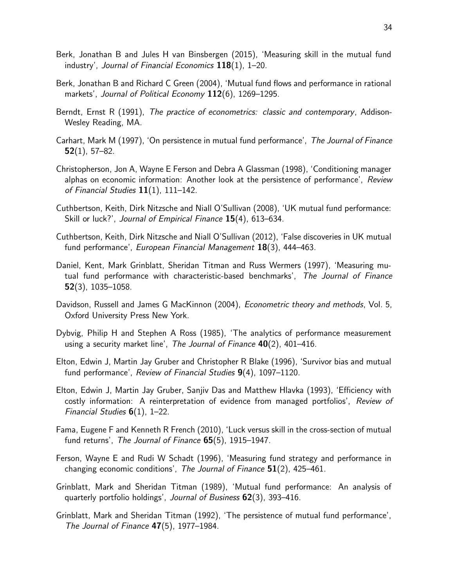- Berk, Jonathan B and Jules H van Binsbergen (2015), 'Measuring skill in the mutual fund industry', Journal of Financial Economics  $118(1)$ , 1–20.
- Berk, Jonathan B and Richard C Green (2004), 'Mutual fund flows and performance in rational markets', Journal of Political Economy 112(6), 1269–1295.
- Berndt, Ernst R (1991), The practice of econometrics: classic and contemporary, Addison-Wesley Reading, MA.
- Carhart, Mark M (1997), 'On persistence in mutual fund performance', The Journal of Finance  $52(1)$ , 57–82.
- Christopherson, Jon A, Wayne E Ferson and Debra A Glassman (1998), 'Conditioning manager alphas on economic information: Another look at the persistence of performance', Review of Financial Studies  $11(1)$ ,  $111-142$ .
- Cuthbertson, Keith, Dirk Nitzsche and Niall O'Sullivan (2008), 'UK mutual fund performance: Skill or luck?', Journal of Empirical Finance 15(4), 613–634.
- Cuthbertson, Keith, Dirk Nitzsche and Niall O'Sullivan (2012), 'False discoveries in UK mutual fund performance', European Financial Management 18(3), 444–463.
- Daniel, Kent, Mark Grinblatt, Sheridan Titman and Russ Wermers (1997), 'Measuring mutual fund performance with characteristic-based benchmarks', The Journal of Finance 52(3), 1035–1058.
- Davidson, Russell and James G MacKinnon (2004), Econometric theory and methods, Vol. 5, Oxford University Press New York.
- Dybvig, Philip H and Stephen A Ross (1985), 'The analytics of performance measurement using a security market line', The Journal of Finance  $40(2)$ , 401–416.
- Elton, Edwin J, Martin Jay Gruber and Christopher R Blake (1996), 'Survivor bias and mutual fund performance', Review of Financial Studies 9(4), 1097–1120.
- Elton, Edwin J, Martin Jay Gruber, Sanjiv Das and Matthew Hlavka (1993), 'Efficiency with costly information: A reinterpretation of evidence from managed portfolios', Review of Financial Studies  $6(1)$ , 1–22.
- Fama, Eugene F and Kenneth R French (2010), 'Luck versus skill in the cross-section of mutual fund returns', The Journal of Finance  $65(5)$ , 1915-1947.
- Ferson, Wayne E and Rudi W Schadt (1996), 'Measuring fund strategy and performance in changing economic conditions', The Journal of Finance  $51(2)$ , 425–461.
- Grinblatt, Mark and Sheridan Titman (1989), 'Mutual fund performance: An analysis of quarterly portfolio holdings', Journal of Business 62(3), 393–416.
- Grinblatt, Mark and Sheridan Titman (1992), 'The persistence of mutual fund performance', The Journal of Finance 47(5), 1977–1984.